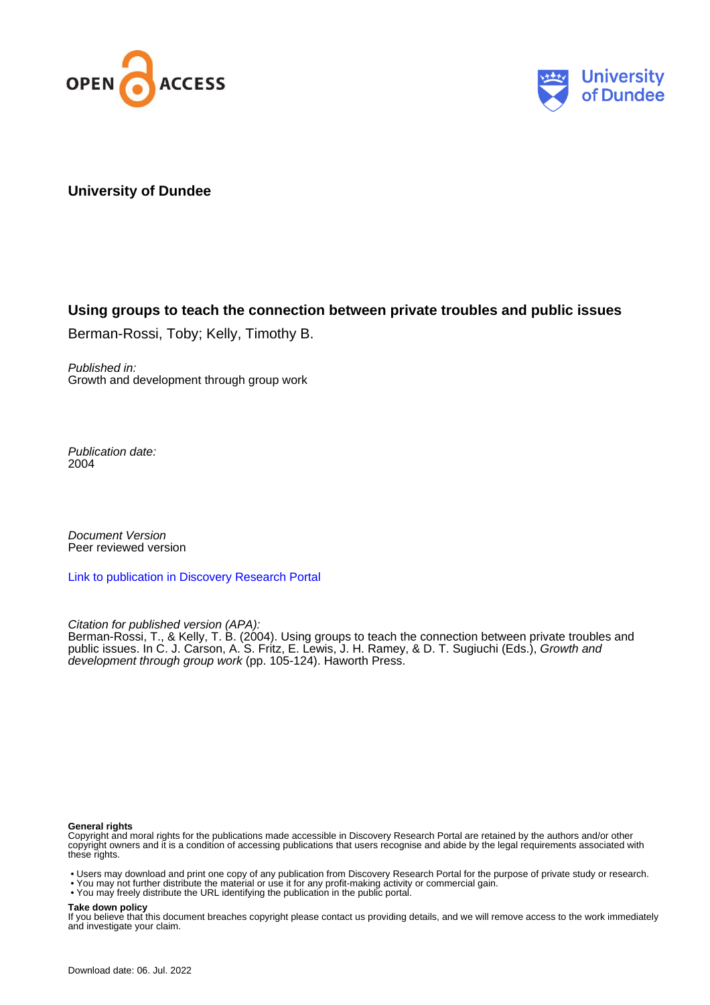



## **University of Dundee**

## **Using groups to teach the connection between private troubles and public issues**

Berman-Rossi, Toby; Kelly, Timothy B.

Published in: Growth and development through group work

Publication date: 2004

Document Version Peer reviewed version

[Link to publication in Discovery Research Portal](https://discovery.dundee.ac.uk/en/publications/5e3e0ae2-5c2c-48bc-894e-a662061a0888)

Citation for published version (APA):

Berman-Rossi, T., & Kelly, T. B. (2004). Using groups to teach the connection between private troubles and public issues. In C. J. Carson, A. S. Fritz, E. Lewis, J. H. Ramey, & D. T. Sugiuchi (Eds.), *Growth and* development through group work (pp. 105-124). Haworth Press.

#### **General rights**

Copyright and moral rights for the publications made accessible in Discovery Research Portal are retained by the authors and/or other copyright owners and it is a condition of accessing publications that users recognise and abide by the legal requirements associated with these rights.

- Users may download and print one copy of any publication from Discovery Research Portal for the purpose of private study or research.
- You may not further distribute the material or use it for any profit-making activity or commercial gain.
- You may freely distribute the URL identifying the publication in the public portal.

**Take down policy**

If you believe that this document breaches copyright please contact us providing details, and we will remove access to the work immediately and investigate your claim.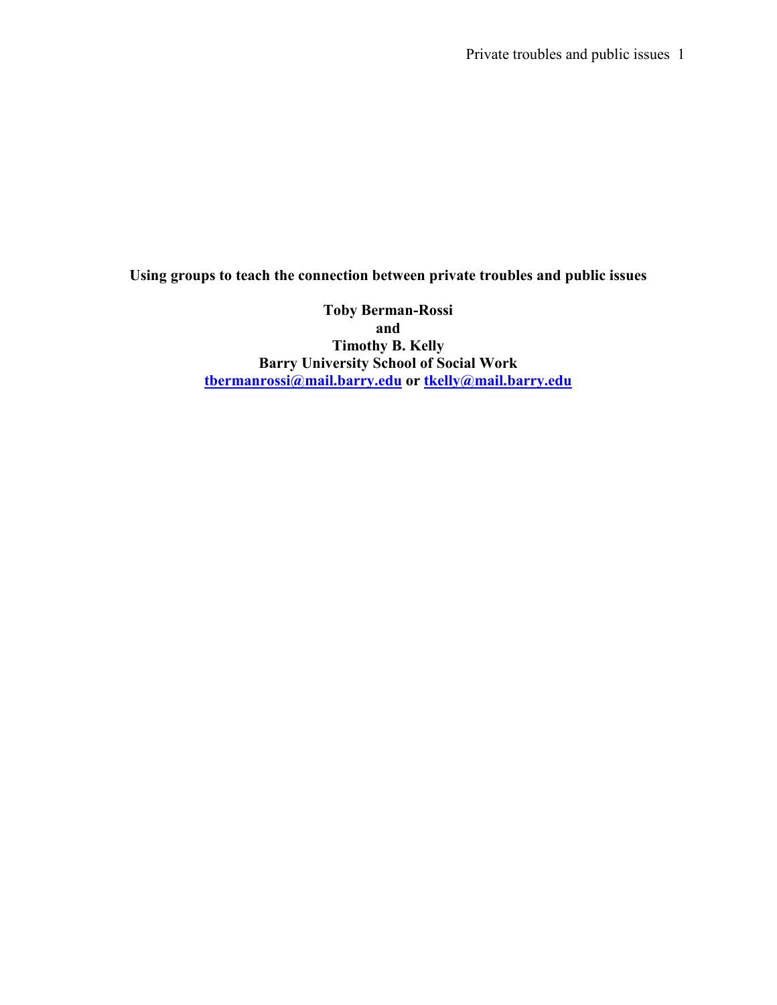Private troubles and public issues 1

## Using groups to teach the connection between private troubles and public issues

Toby Berman-Rossi and Timothy B. Kelly Barry University School of Social Work <u>tbermanrossi@mail.barry.edu</u> or <u>tkelly@mail.barry.edu</u>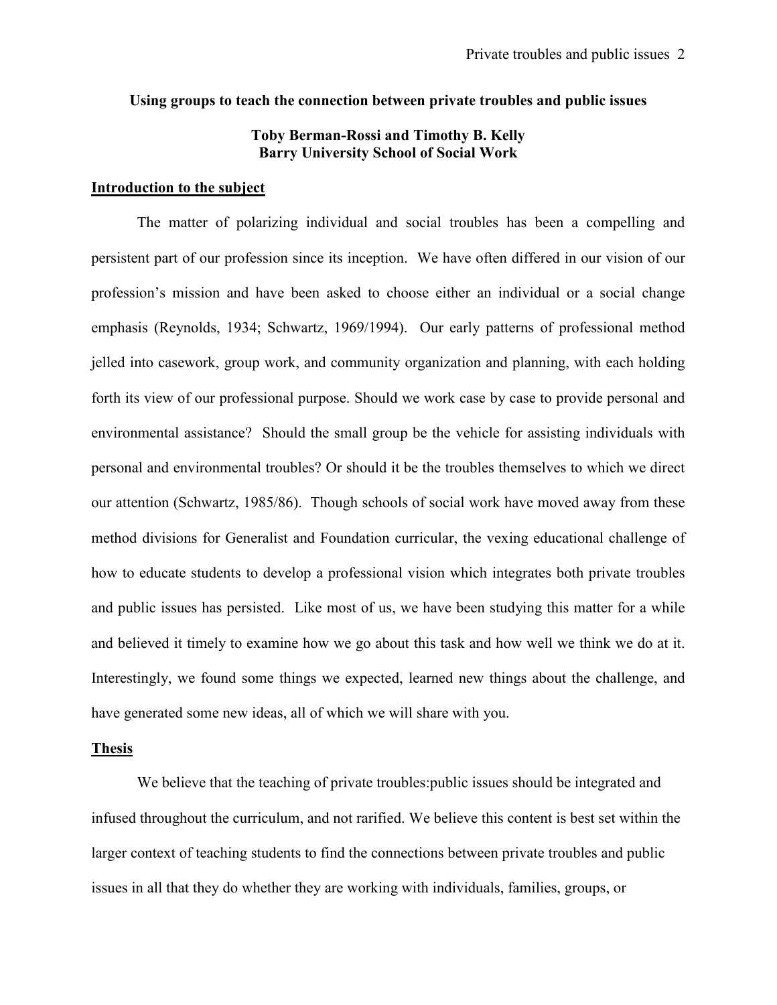#### Using groups to teach the connection between private troubles and public issues

## Toby Berman-Rossi and Timothy B. Kelly Barry University School of Social Work

## Introduction to the subject

The matter of polarizing individual and social troubles has been a compelling and persistent part of our profession since its inception. We have often differed in our vision of our profession's mission and have been asked to choose either an individual or a social change emphasis (Reynolds, 1934; Schwartz, 1969/1994). Our early patterns of professional method jelled into casework, group work, and community organization and planning, with each holding forth its view of our professional purpose. Should we work case by case to provide personal and environmental assistance? Should the small group be the vehicle for assisting individuals with personal and environmental troubles? Or should it be the troubles themselves to which we direct our attention (Schwartz, 1985/86). Though schools of social work have moved away from these method divisions for Generalist and Foundation curricular, the vexing educational challenge of how to educate students to develop a professional vision which integrates both private troubles and public issues has persisted. Like most of us, we have been studying this matter for a while and believed it timely to examine how we go about this task and how well we think we do at it. Interestingly, we found some things we expected, learned new things about the challenge, and have generated some new ideas, all of which we will share with you.

## Thesis

We believe that the teaching of private troubles:public issues should be integrated and infused throughout the curriculum, and not rarified. We believe this content is best set within the larger context of teaching students to find the connections between private troubles and public issues in all that they do whether they are working with individuals, families, groups, or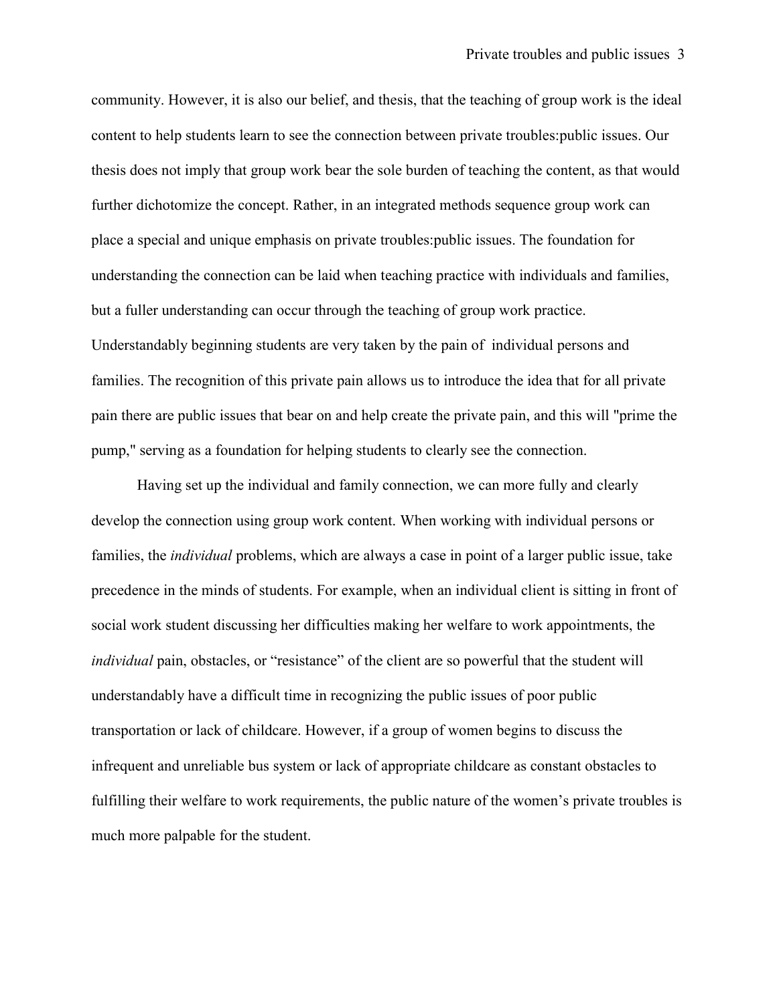community. However, it is also our belief, and thesis, that the teaching of group work is the ideal content to help students learn to see the connection between private troubles:public issues. Our thesis does not imply that group work bear the sole burden of teaching the content, as that would further dichotomize the concept. Rather, in an integrated methods sequence group work can place a special and unique emphasis on private troubles:public issues. The foundation for understanding the connection can be laid when teaching practice with individuals and families, but a fuller understanding can occur through the teaching of group work practice. Understandably beginning students are very taken by the pain of individual persons and families. The recognition of this private pain allows us to introduce the idea that for all private pain there are public issues that bear on and help create the private pain, and this will "prime the pump," serving as a foundation for helping students to clearly see the connection.

Having set up the individual and family connection, we can more fully and clearly develop the connection using group work content. When working with individual persons or families, the individual problems, which are always a case in point of a larger public issue, take precedence in the minds of students. For example, when an individual client is sitting in front of social work student discussing her difficulties making her welfare to work appointments, the individual pain, obstacles, or "resistance" of the client are so powerful that the student will understandably have a difficult time in recognizing the public issues of poor public transportation or lack of childcare. However, if a group of women begins to discuss the infrequent and unreliable bus system or lack of appropriate childcare as constant obstacles to fulfilling their welfare to work requirements, the public nature of the women's private troubles is much more palpable for the student.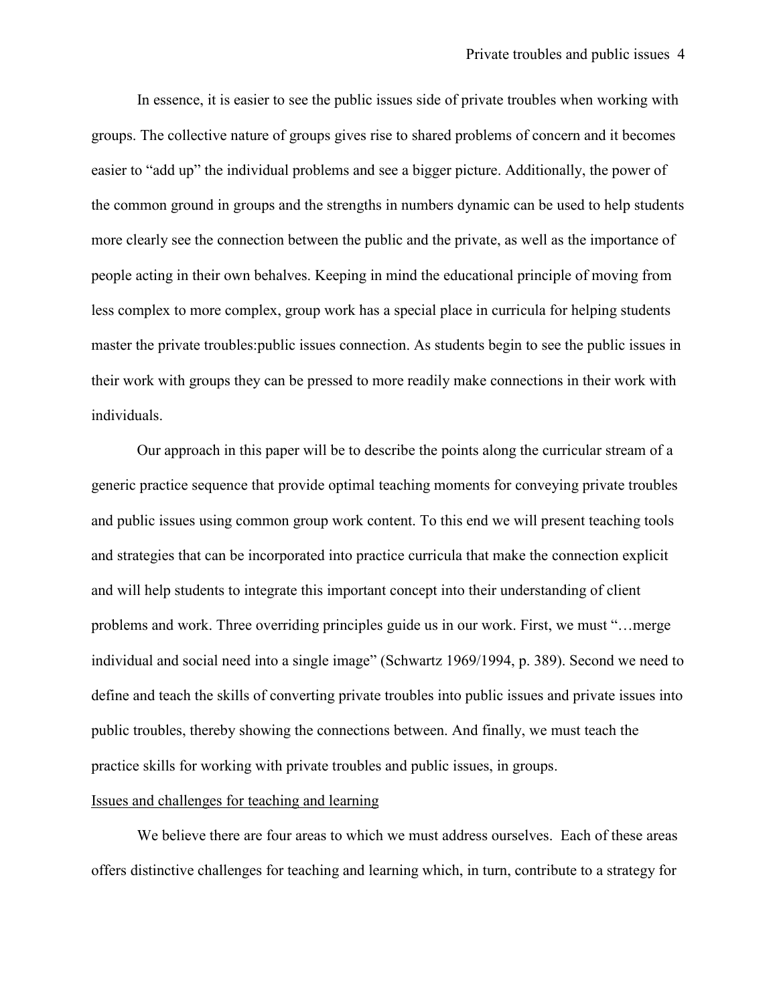In essence, it is easier to see the public issues side of private troubles when working with groups. The collective nature of groups gives rise to shared problems of concern and it becomes easier to "add up" the individual problems and see a bigger picture. Additionally, the power of the common ground in groups and the strengths in numbers dynamic can be used to help students more clearly see the connection between the public and the private, as well as the importance of people acting in their own behalves. Keeping in mind the educational principle of moving from less complex to more complex, group work has a special place in curricula for helping students master the private troubles:public issues connection. As students begin to see the public issues in their work with groups they can be pressed to more readily make connections in their work with individuals.

Our approach in this paper will be to describe the points along the curricular stream of a generic practice sequence that provide optimal teaching moments for conveying private troubles and public issues using common group work content. To this end we will present teaching tools and strategies that can be incorporated into practice curricula that make the connection explicit and will help students to integrate this important concept into their understanding of client problems and work. Three overriding principles guide us in our work. First, we must "…merge individual and social need into a single image" (Schwartz 1969/1994, p. 389). Second we need to define and teach the skills of converting private troubles into public issues and private issues into public troubles, thereby showing the connections between. And finally, we must teach the practice skills for working with private troubles and public issues, in groups.

#### Issues and challenges for teaching and learning

 We believe there are four areas to which we must address ourselves. Each of these areas offers distinctive challenges for teaching and learning which, in turn, contribute to a strategy for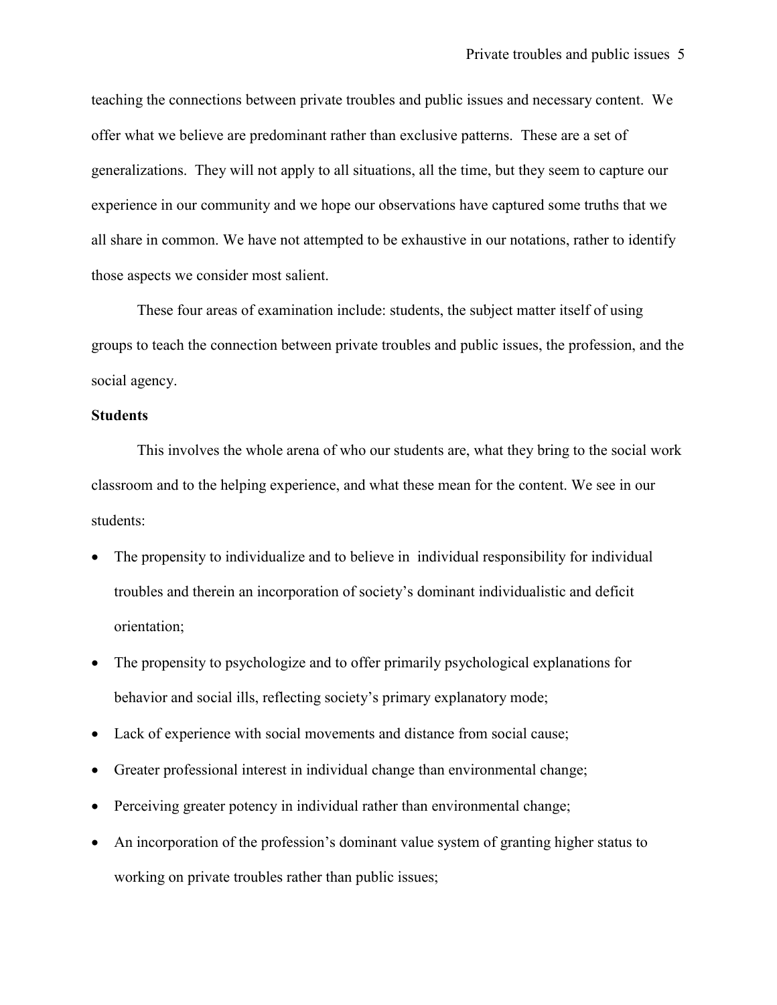teaching the connections between private troubles and public issues and necessary content. We offer what we believe are predominant rather than exclusive patterns. These are a set of generalizations. They will not apply to all situations, all the time, but they seem to capture our experience in our community and we hope our observations have captured some truths that we all share in common. We have not attempted to be exhaustive in our notations, rather to identify those aspects we consider most salient.

 These four areas of examination include: students, the subject matter itself of using groups to teach the connection between private troubles and public issues, the profession, and the social agency.

#### **Students**

This involves the whole arena of who our students are, what they bring to the social work classroom and to the helping experience, and what these mean for the content. We see in our students:

- The propensity to individualize and to believe in individual responsibility for individual troubles and therein an incorporation of society's dominant individualistic and deficit orientation;
- The propensity to psychologize and to offer primarily psychological explanations for behavior and social ills, reflecting society's primary explanatory mode;
- Lack of experience with social movements and distance from social cause;
- Greater professional interest in individual change than environmental change;
- Perceiving greater potency in individual rather than environmental change;
- An incorporation of the profession's dominant value system of granting higher status to working on private troubles rather than public issues;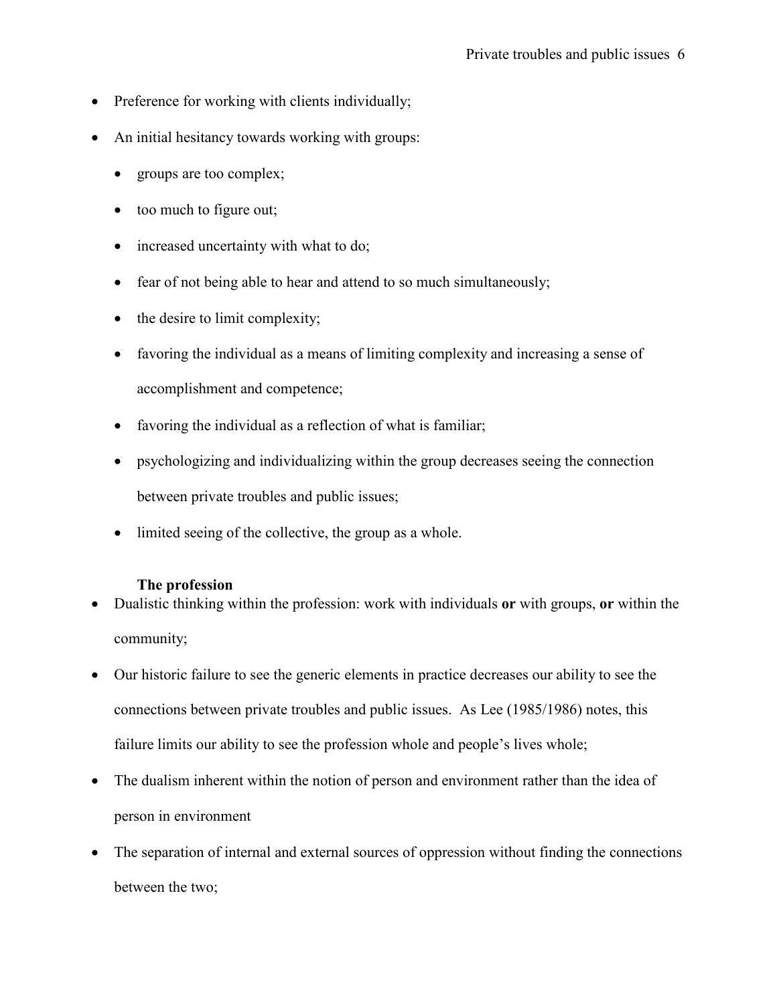- Preference for working with clients individually;
- An initial hesitancy towards working with groups:
	- groups are too complex;
	- too much to figure out;
	- increased uncertainty with what to do;
	- fear of not being able to hear and attend to so much simultaneously;
	- the desire to limit complexity;
	- favoring the individual as a means of limiting complexity and increasing a sense of accomplishment and competence;
	- favoring the individual as a reflection of what is familiar;
	- psychologizing and individualizing within the group decreases seeing the connection between private troubles and public issues;
	- limited seeing of the collective, the group as a whole.

## The profession

- Dualistic thinking within the profession: work with individuals or with groups, or within the community;
- Our historic failure to see the generic elements in practice decreases our ability to see the connections between private troubles and public issues. As Lee (1985/1986) notes, this failure limits our ability to see the profession whole and people's lives whole;
- The dualism inherent within the notion of person and environment rather than the idea of person in environment
- The separation of internal and external sources of oppression without finding the connections between the two;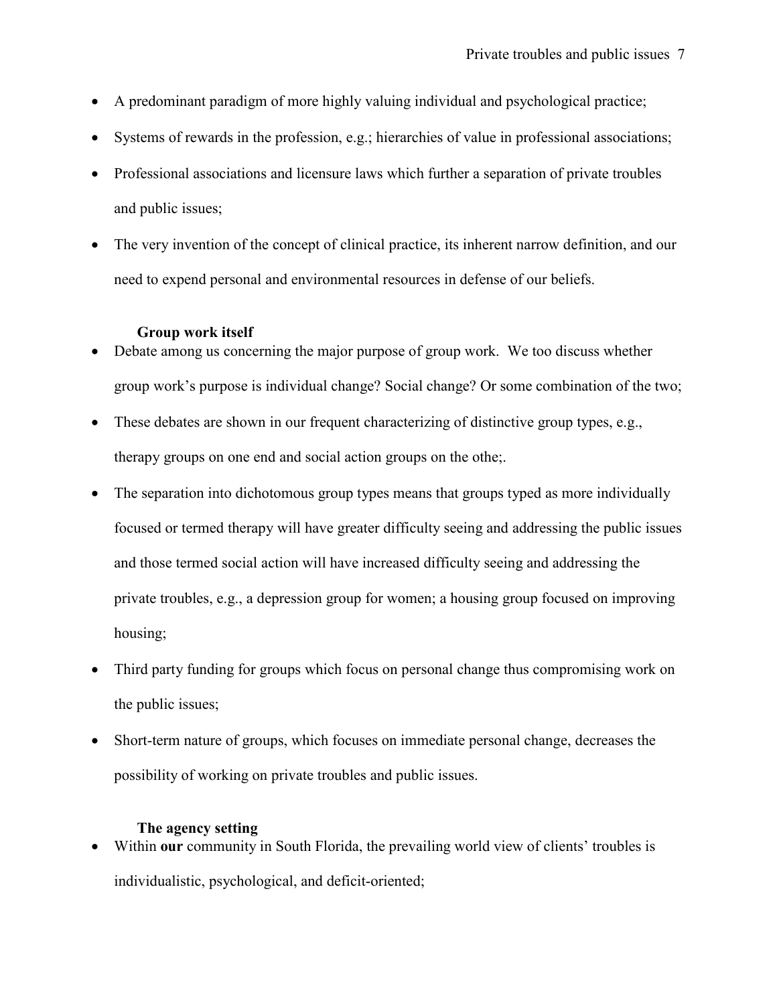- A predominant paradigm of more highly valuing individual and psychological practice;
- Systems of rewards in the profession, e.g.; hierarchies of value in professional associations;
- Professional associations and licensure laws which further a separation of private troubles and public issues;
- The very invention of the concept of clinical practice, its inherent narrow definition, and our need to expend personal and environmental resources in defense of our beliefs.

## Group work itself

- Debate among us concerning the major purpose of group work. We too discuss whether group work's purpose is individual change? Social change? Or some combination of the two;
- These debates are shown in our frequent characterizing of distinctive group types, e.g., therapy groups on one end and social action groups on the othe;.
- The separation into dichotomous group types means that groups typed as more individually focused or termed therapy will have greater difficulty seeing and addressing the public issues and those termed social action will have increased difficulty seeing and addressing the private troubles, e.g., a depression group for women; a housing group focused on improving housing;
- Third party funding for groups which focus on personal change thus compromising work on the public issues;
- Short-term nature of groups, which focuses on immediate personal change, decreases the possibility of working on private troubles and public issues.

## The agency setting

• Within our community in South Florida, the prevailing world view of clients' troubles is individualistic, psychological, and deficit-oriented;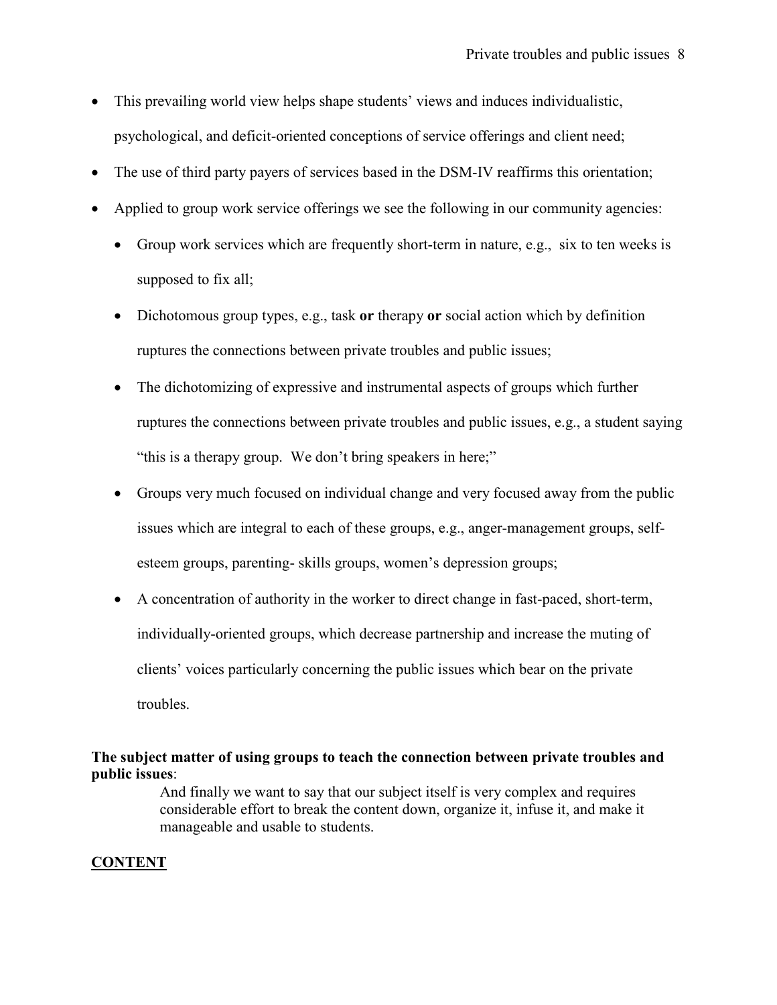- This prevailing world view helps shape students' views and induces individualistic, psychological, and deficit-oriented conceptions of service offerings and client need;
- The use of third party payers of services based in the DSM-IV reaffirms this orientation;
- Applied to group work service offerings we see the following in our community agencies:
	- Group work services which are frequently short-term in nature, e.g., six to ten weeks is supposed to fix all;
	- Dichotomous group types, e.g., task or therapy or social action which by definition ruptures the connections between private troubles and public issues;
	- The dichotomizing of expressive and instrumental aspects of groups which further ruptures the connections between private troubles and public issues, e.g., a student saying "this is a therapy group. We don't bring speakers in here;"
	- Groups very much focused on individual change and very focused away from the public issues which are integral to each of these groups, e.g., anger-management groups, selfesteem groups, parenting- skills groups, women's depression groups;
	- A concentration of authority in the worker to direct change in fast-paced, short-term, individually-oriented groups, which decrease partnership and increase the muting of clients' voices particularly concerning the public issues which bear on the private troubles.

## The subject matter of using groups to teach the connection between private troubles and public issues:

And finally we want to say that our subject itself is very complex and requires considerable effort to break the content down, organize it, infuse it, and make it manageable and usable to students.

## **CONTENT**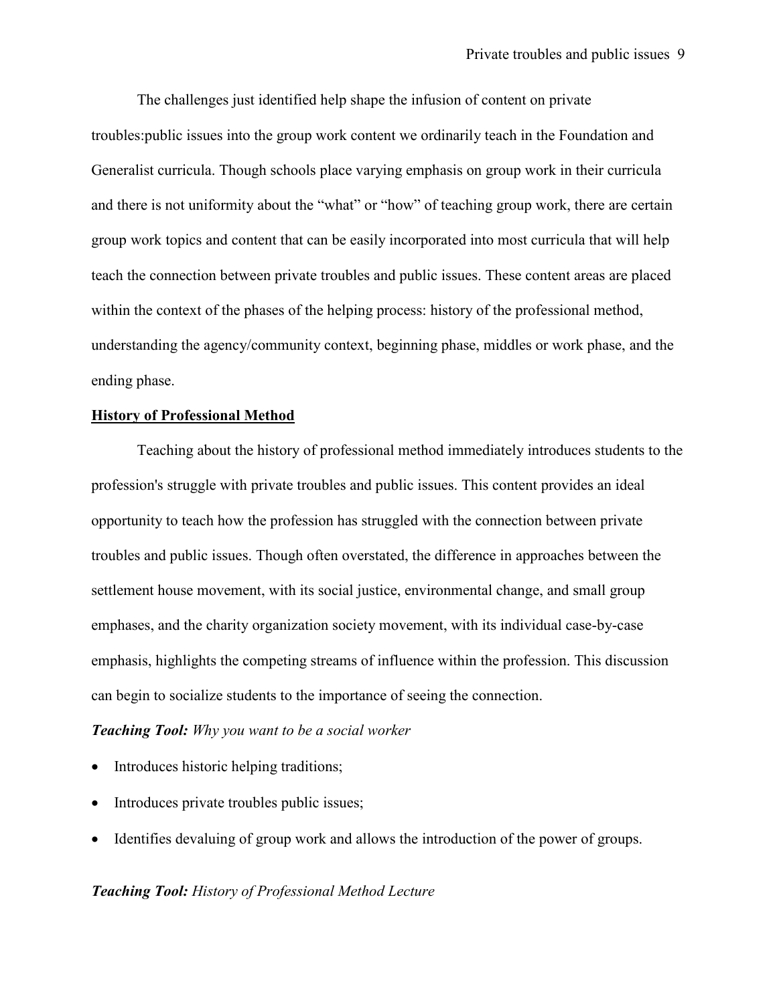The challenges just identified help shape the infusion of content on private troubles:public issues into the group work content we ordinarily teach in the Foundation and Generalist curricula. Though schools place varying emphasis on group work in their curricula and there is not uniformity about the "what" or "how" of teaching group work, there are certain group work topics and content that can be easily incorporated into most curricula that will help teach the connection between private troubles and public issues. These content areas are placed within the context of the phases of the helping process: history of the professional method, understanding the agency/community context, beginning phase, middles or work phase, and the ending phase.

#### History of Professional Method

Teaching about the history of professional method immediately introduces students to the profession's struggle with private troubles and public issues. This content provides an ideal opportunity to teach how the profession has struggled with the connection between private troubles and public issues. Though often overstated, the difference in approaches between the settlement house movement, with its social justice, environmental change, and small group emphases, and the charity organization society movement, with its individual case-by-case emphasis, highlights the competing streams of influence within the profession. This discussion can begin to socialize students to the importance of seeing the connection.

#### **Teaching Tool:** Why you want to be a social worker

- Introduces historic helping traditions;
- Introduces private troubles public issues;
- Identifies devaluing of group work and allows the introduction of the power of groups.

#### Teaching Tool: History of Professional Method Lecture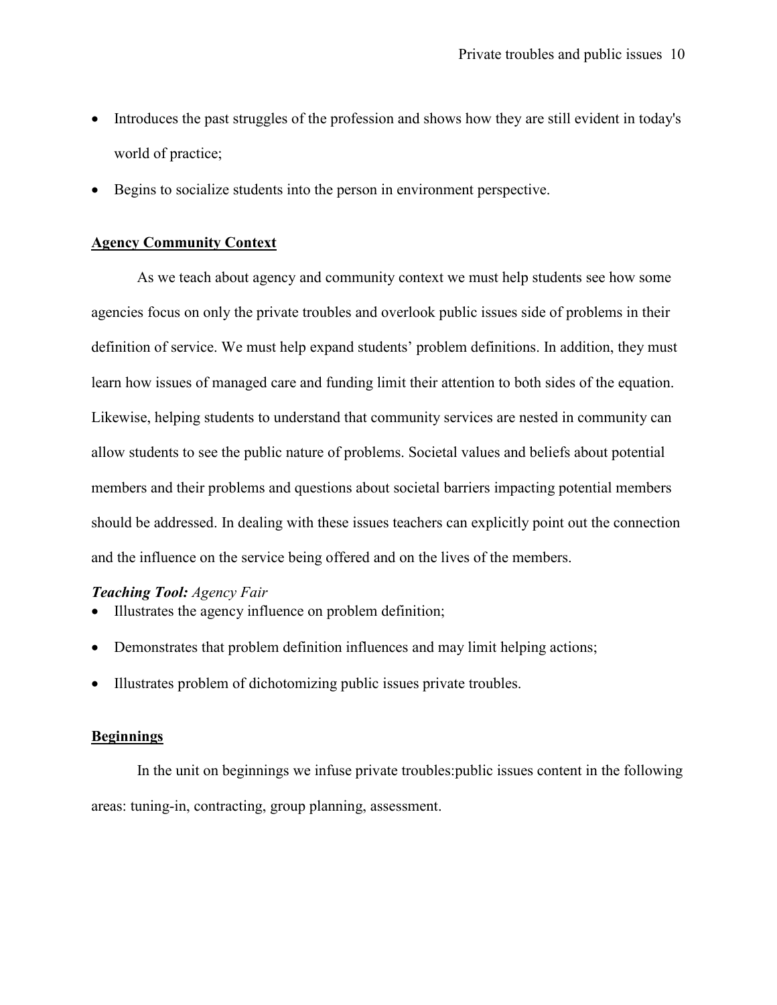- Introduces the past struggles of the profession and shows how they are still evident in today's world of practice;
- Begins to socialize students into the person in environment perspective.

#### Agency Community Context

As we teach about agency and community context we must help students see how some agencies focus on only the private troubles and overlook public issues side of problems in their definition of service. We must help expand students' problem definitions. In addition, they must learn how issues of managed care and funding limit their attention to both sides of the equation. Likewise, helping students to understand that community services are nested in community can allow students to see the public nature of problems. Societal values and beliefs about potential members and their problems and questions about societal barriers impacting potential members should be addressed. In dealing with these issues teachers can explicitly point out the connection and the influence on the service being offered and on the lives of the members.

#### Teaching Tool: Agency Fair

- Illustrates the agency influence on problem definition;
- Demonstrates that problem definition influences and may limit helping actions;
- Illustrates problem of dichotomizing public issues private troubles.

#### Beginnings

In the unit on beginnings we infuse private troubles:public issues content in the following areas: tuning-in, contracting, group planning, assessment.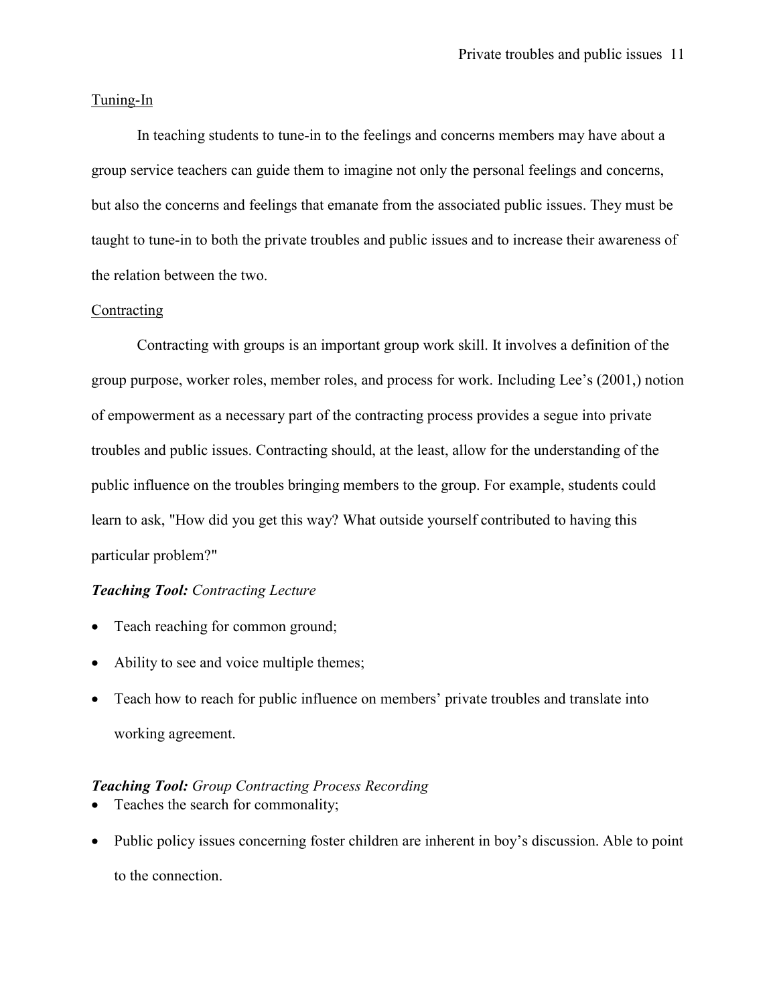#### Tuning-In

In teaching students to tune-in to the feelings and concerns members may have about a group service teachers can guide them to imagine not only the personal feelings and concerns, but also the concerns and feelings that emanate from the associated public issues. They must be taught to tune-in to both the private troubles and public issues and to increase their awareness of the relation between the two.

#### **Contracting**

Contracting with groups is an important group work skill. It involves a definition of the group purpose, worker roles, member roles, and process for work. Including Lee's (2001,) notion of empowerment as a necessary part of the contracting process provides a segue into private troubles and public issues. Contracting should, at the least, allow for the understanding of the public influence on the troubles bringing members to the group. For example, students could learn to ask, "How did you get this way? What outside yourself contributed to having this particular problem?"

#### Teaching Tool: Contracting Lecture

- Teach reaching for common ground;
- Ability to see and voice multiple themes;
- Teach how to reach for public influence on members' private troubles and translate into working agreement.

## Teaching Tool: Group Contracting Process Recording

- Teaches the search for commonality;
- Public policy issues concerning foster children are inherent in boy's discussion. Able to point to the connection.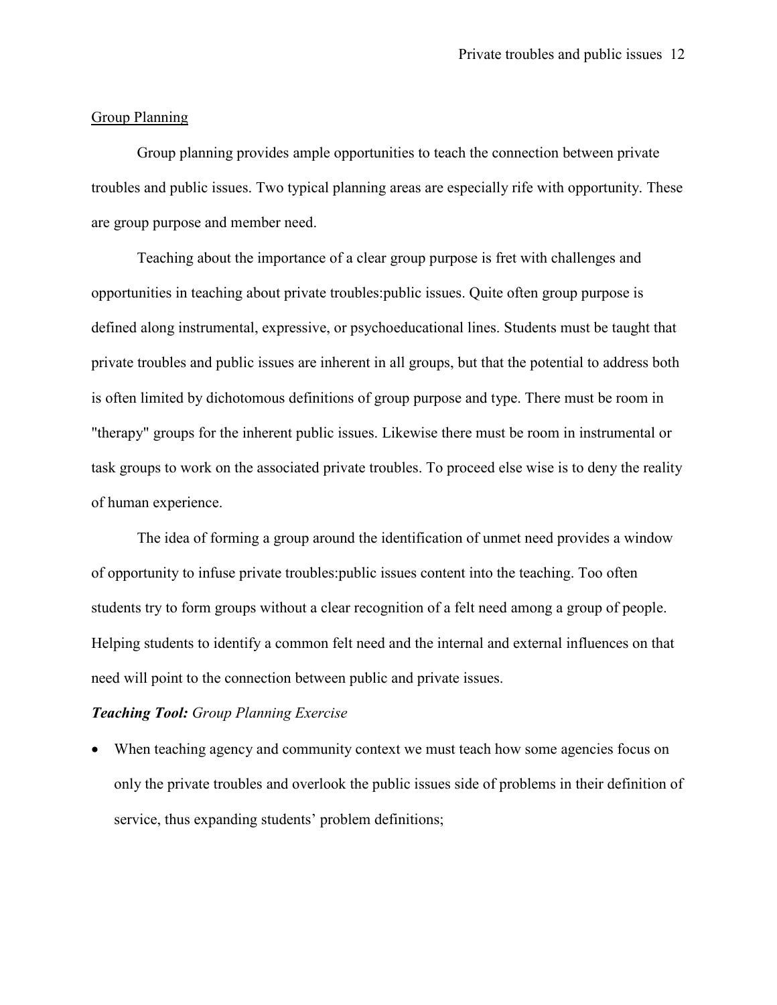#### Group Planning

Group planning provides ample opportunities to teach the connection between private troubles and public issues. Two typical planning areas are especially rife with opportunity. These are group purpose and member need.

Teaching about the importance of a clear group purpose is fret with challenges and opportunities in teaching about private troubles:public issues. Quite often group purpose is defined along instrumental, expressive, or psychoeducational lines. Students must be taught that private troubles and public issues are inherent in all groups, but that the potential to address both is often limited by dichotomous definitions of group purpose and type. There must be room in "therapy" groups for the inherent public issues. Likewise there must be room in instrumental or task groups to work on the associated private troubles. To proceed else wise is to deny the reality of human experience.

The idea of forming a group around the identification of unmet need provides a window of opportunity to infuse private troubles:public issues content into the teaching. Too often students try to form groups without a clear recognition of a felt need among a group of people. Helping students to identify a common felt need and the internal and external influences on that need will point to the connection between public and private issues.

## Teaching Tool: Group Planning Exercise

• When teaching agency and community context we must teach how some agencies focus on only the private troubles and overlook the public issues side of problems in their definition of service, thus expanding students' problem definitions;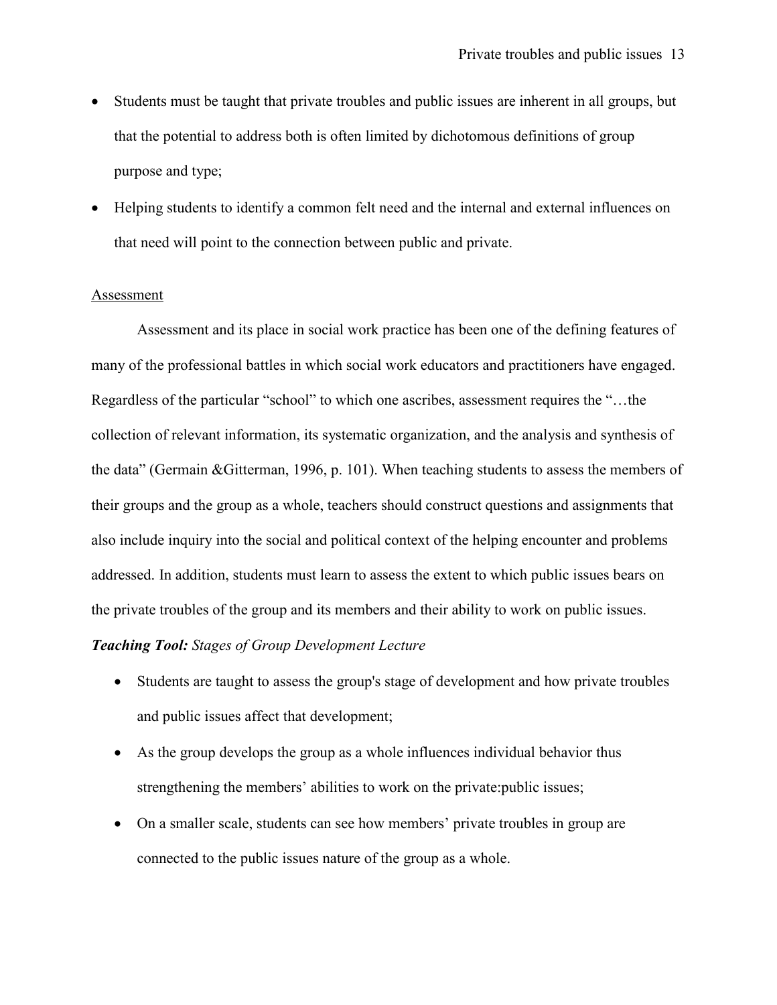- Students must be taught that private troubles and public issues are inherent in all groups, but that the potential to address both is often limited by dichotomous definitions of group purpose and type;
- Helping students to identify a common felt need and the internal and external influences on that need will point to the connection between public and private.

#### **Assessment**

Assessment and its place in social work practice has been one of the defining features of many of the professional battles in which social work educators and practitioners have engaged. Regardless of the particular "school" to which one ascribes, assessment requires the "…the collection of relevant information, its systematic organization, and the analysis and synthesis of the data" (Germain &Gitterman, 1996, p. 101). When teaching students to assess the members of their groups and the group as a whole, teachers should construct questions and assignments that also include inquiry into the social and political context of the helping encounter and problems addressed. In addition, students must learn to assess the extent to which public issues bears on the private troubles of the group and its members and their ability to work on public issues.

## Teaching Tool: Stages of Group Development Lecture

- Students are taught to assess the group's stage of development and how private troubles and public issues affect that development;
- As the group develops the group as a whole influences individual behavior thus strengthening the members' abilities to work on the private:public issues;
- On a smaller scale, students can see how members' private troubles in group are connected to the public issues nature of the group as a whole.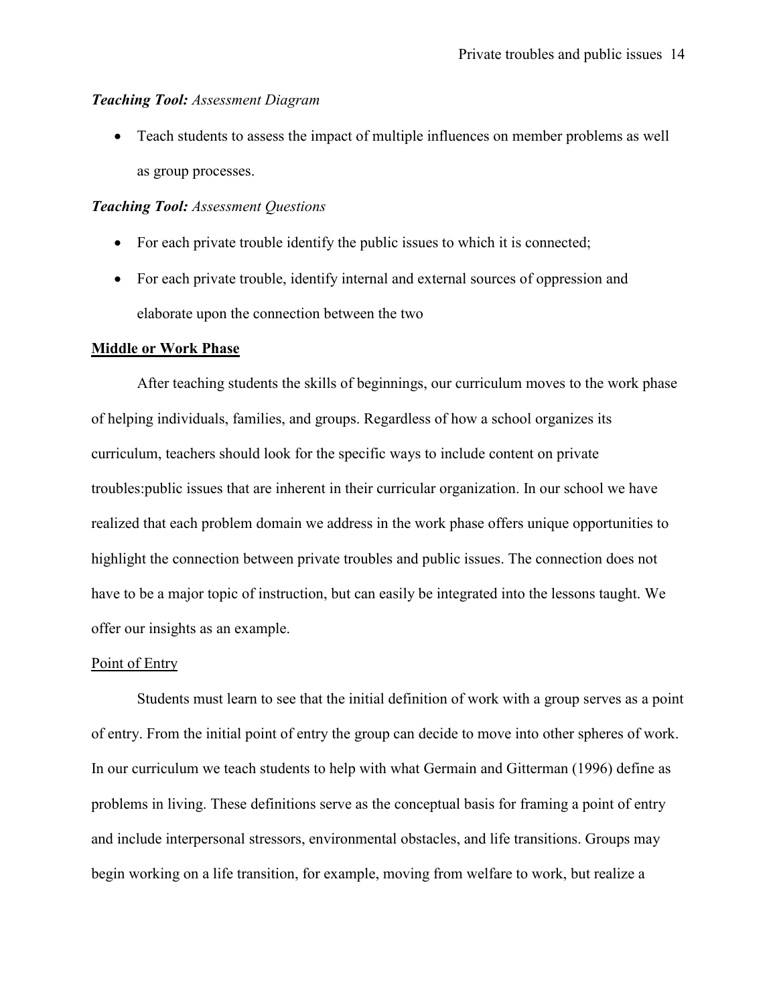#### Teaching Tool: Assessment Diagram

• Teach students to assess the impact of multiple influences on member problems as well as group processes.

## Teaching Tool: Assessment Questions

- For each private trouble identify the public issues to which it is connected;
- For each private trouble, identify internal and external sources of oppression and elaborate upon the connection between the two

#### Middle or Work Phase

After teaching students the skills of beginnings, our curriculum moves to the work phase of helping individuals, families, and groups. Regardless of how a school organizes its curriculum, teachers should look for the specific ways to include content on private troubles:public issues that are inherent in their curricular organization. In our school we have realized that each problem domain we address in the work phase offers unique opportunities to highlight the connection between private troubles and public issues. The connection does not have to be a major topic of instruction, but can easily be integrated into the lessons taught. We offer our insights as an example.

#### Point of Entry

Students must learn to see that the initial definition of work with a group serves as a point of entry. From the initial point of entry the group can decide to move into other spheres of work. In our curriculum we teach students to help with what Germain and Gitterman (1996) define as problems in living. These definitions serve as the conceptual basis for framing a point of entry and include interpersonal stressors, environmental obstacles, and life transitions. Groups may begin working on a life transition, for example, moving from welfare to work, but realize a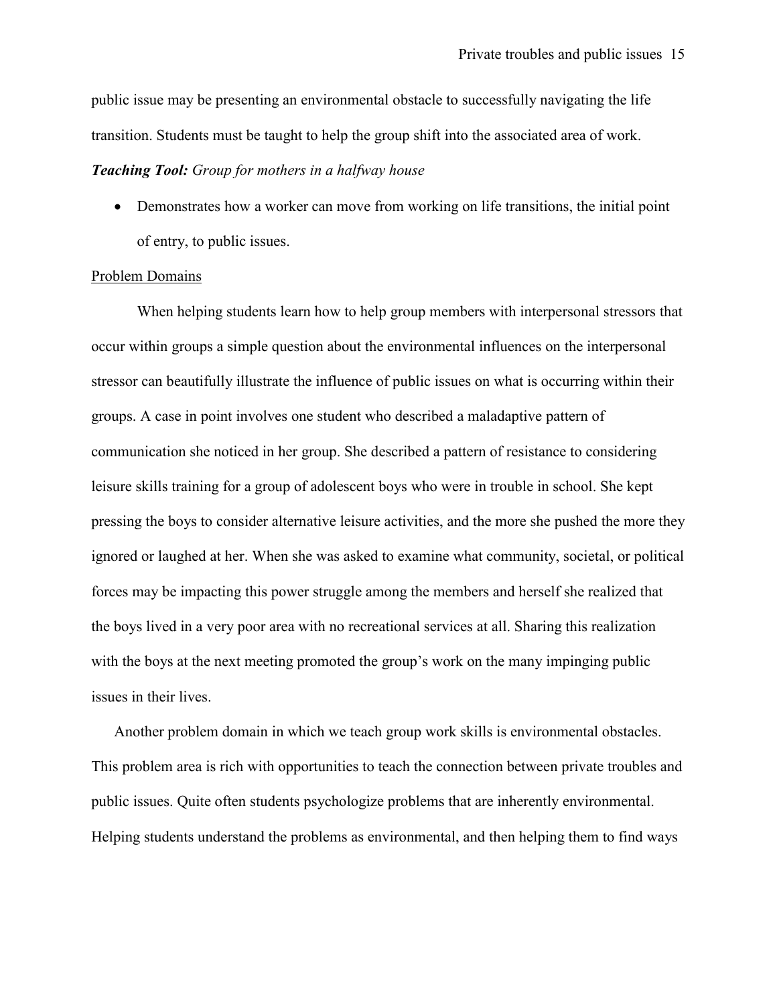public issue may be presenting an environmental obstacle to successfully navigating the life transition. Students must be taught to help the group shift into the associated area of work.

#### **Teaching Tool:** Group for mothers in a halfway house

• Demonstrates how a worker can move from working on life transitions, the initial point of entry, to public issues.

#### Problem Domains

When helping students learn how to help group members with interpersonal stressors that occur within groups a simple question about the environmental influences on the interpersonal stressor can beautifully illustrate the influence of public issues on what is occurring within their groups. A case in point involves one student who described a maladaptive pattern of communication she noticed in her group. She described a pattern of resistance to considering leisure skills training for a group of adolescent boys who were in trouble in school. She kept pressing the boys to consider alternative leisure activities, and the more she pushed the more they ignored or laughed at her. When she was asked to examine what community, societal, or political forces may be impacting this power struggle among the members and herself she realized that the boys lived in a very poor area with no recreational services at all. Sharing this realization with the boys at the next meeting promoted the group's work on the many impinging public issues in their lives.

Another problem domain in which we teach group work skills is environmental obstacles. This problem area is rich with opportunities to teach the connection between private troubles and public issues. Quite often students psychologize problems that are inherently environmental. Helping students understand the problems as environmental, and then helping them to find ways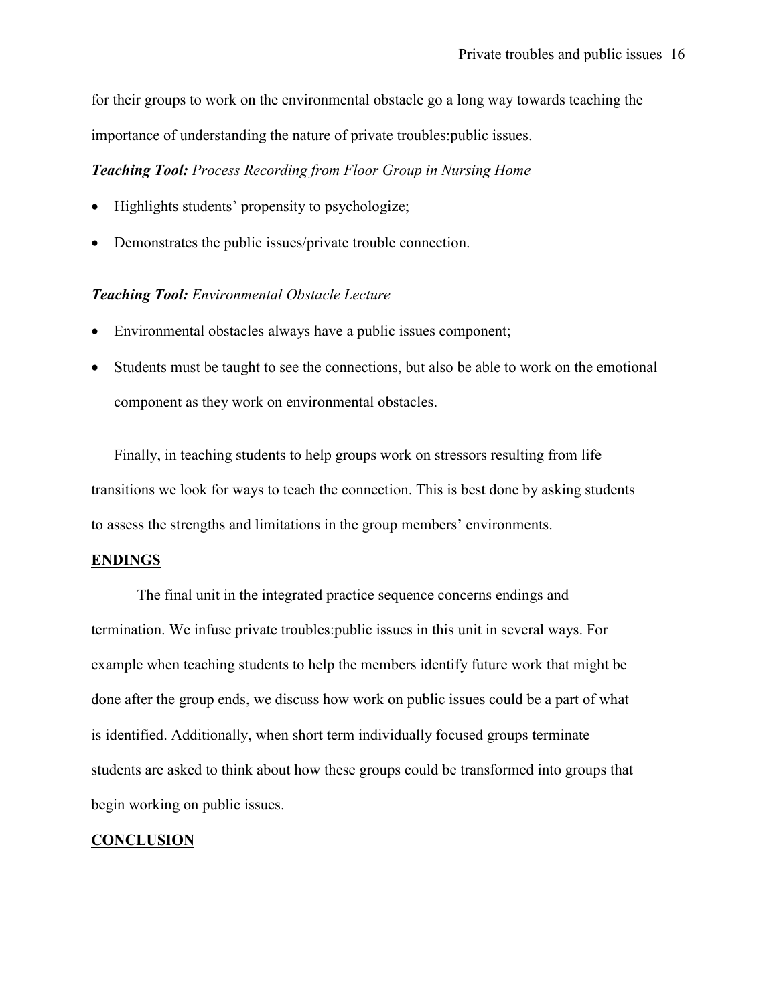for their groups to work on the environmental obstacle go a long way towards teaching the importance of understanding the nature of private troubles:public issues.

Teaching Tool: Process Recording from Floor Group in Nursing Home

- Highlights students' propensity to psychologize;
- Demonstrates the public issues/private trouble connection.

## Teaching Tool: Environmental Obstacle Lecture

- Environmental obstacles always have a public issues component;
- Students must be taught to see the connections, but also be able to work on the emotional component as they work on environmental obstacles.

Finally, in teaching students to help groups work on stressors resulting from life transitions we look for ways to teach the connection. This is best done by asking students to assess the strengths and limitations in the group members' environments.

#### ENDINGS

The final unit in the integrated practice sequence concerns endings and termination. We infuse private troubles:public issues in this unit in several ways. For example when teaching students to help the members identify future work that might be done after the group ends, we discuss how work on public issues could be a part of what is identified. Additionally, when short term individually focused groups terminate students are asked to think about how these groups could be transformed into groups that begin working on public issues.

#### **CONCLUSION**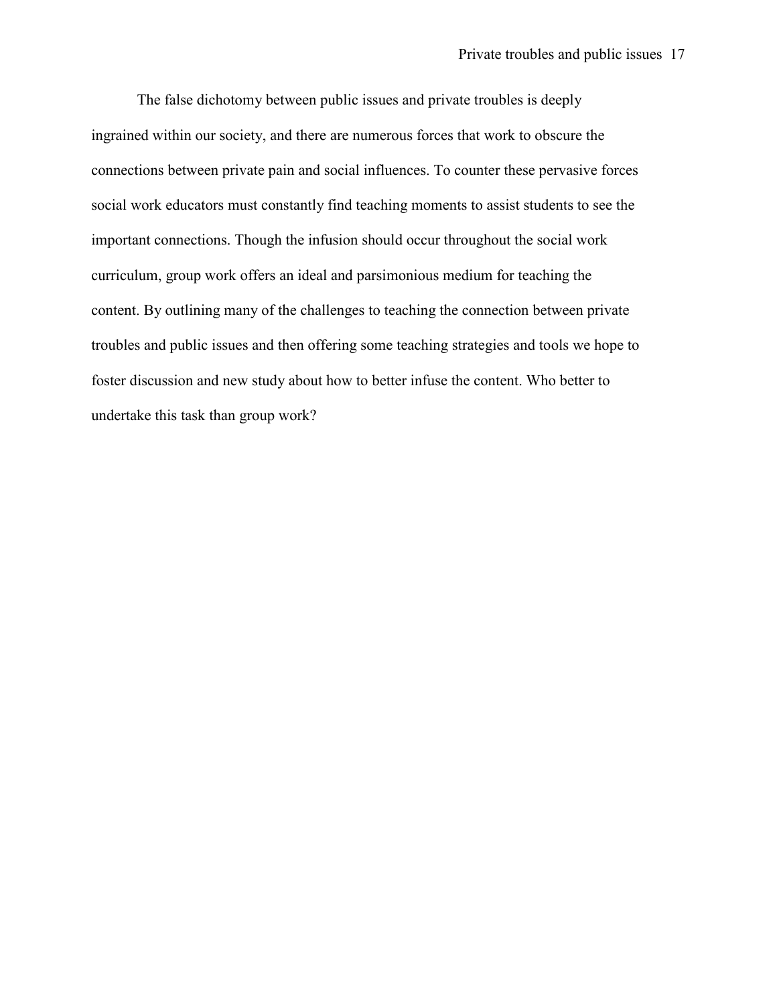The false dichotomy between public issues and private troubles is deeply ingrained within our society, and there are numerous forces that work to obscure the connections between private pain and social influences. To counter these pervasive forces social work educators must constantly find teaching moments to assist students to see the important connections. Though the infusion should occur throughout the social work curriculum, group work offers an ideal and parsimonious medium for teaching the content. By outlining many of the challenges to teaching the connection between private troubles and public issues and then offering some teaching strategies and tools we hope to foster discussion and new study about how to better infuse the content. Who better to undertake this task than group work?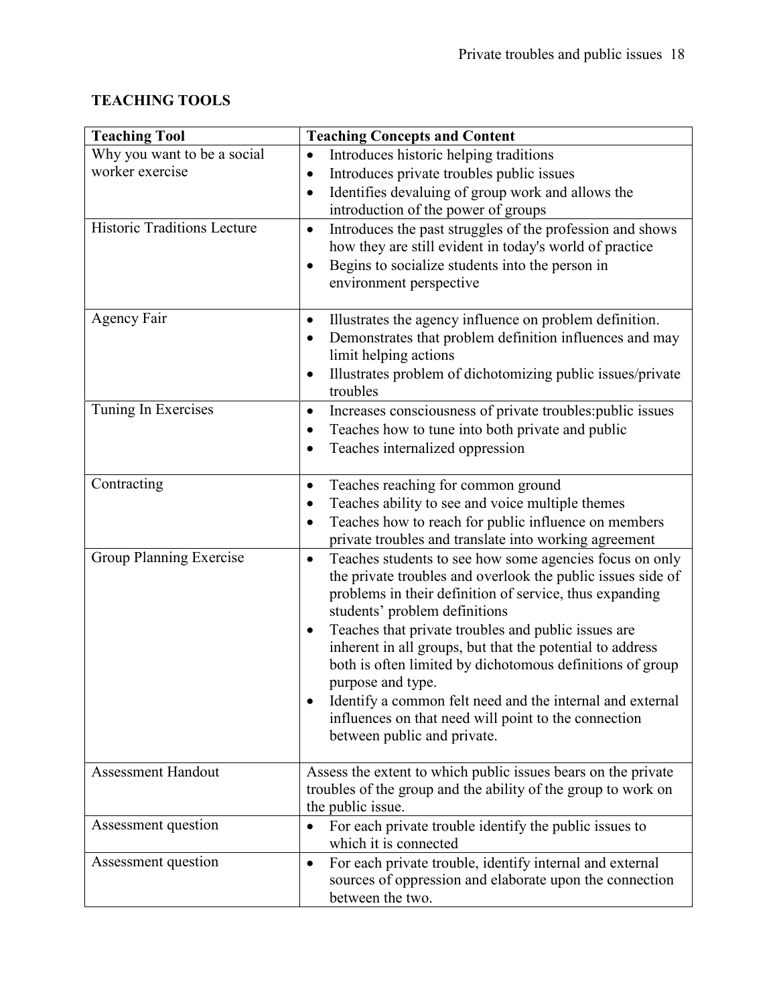# TEACHING TOOLS

| <b>Teaching Tool</b>               | <b>Teaching Concepts and Content</b>                                                                                                                                                                                            |
|------------------------------------|---------------------------------------------------------------------------------------------------------------------------------------------------------------------------------------------------------------------------------|
| Why you want to be a social        | Introduces historic helping traditions                                                                                                                                                                                          |
| worker exercise                    | Introduces private troubles public issues<br>$\bullet$                                                                                                                                                                          |
|                                    | Identifies devaluing of group work and allows the<br>$\bullet$                                                                                                                                                                  |
|                                    | introduction of the power of groups                                                                                                                                                                                             |
| <b>Historic Traditions Lecture</b> | Introduces the past struggles of the profession and shows<br>$\bullet$<br>how they are still evident in today's world of practice<br>Begins to socialize students into the person in<br>$\bullet$<br>environment perspective    |
| <b>Agency Fair</b>                 | Illustrates the agency influence on problem definition.<br>$\bullet$                                                                                                                                                            |
|                                    | Demonstrates that problem definition influences and may<br>limit helping actions                                                                                                                                                |
|                                    | Illustrates problem of dichotomizing public issues/private<br>$\bullet$<br>troubles                                                                                                                                             |
| Tuning In Exercises                | Increases consciousness of private troubles: public issues<br>$\bullet$                                                                                                                                                         |
|                                    | Teaches how to tune into both private and public<br>٠                                                                                                                                                                           |
|                                    | Teaches internalized oppression<br>$\bullet$                                                                                                                                                                                    |
| Contracting                        | Teaches reaching for common ground<br>٠                                                                                                                                                                                         |
|                                    | Teaches ability to see and voice multiple themes<br>٠                                                                                                                                                                           |
|                                    | Teaches how to reach for public influence on members<br>private troubles and translate into working agreement                                                                                                                   |
| Group Planning Exercise            | Teaches students to see how some agencies focus on only<br>$\bullet$<br>the private troubles and overlook the public issues side of<br>problems in their definition of service, thus expanding<br>students' problem definitions |
|                                    | Teaches that private troubles and public issues are<br>$\bullet$<br>inherent in all groups, but that the potential to address<br>both is often limited by dichotomous definitions of group<br>purpose and type.                 |
|                                    | Identify a common felt need and the internal and external<br>influences on that need will point to the connection<br>between public and private.                                                                                |
| <b>Assessment Handout</b>          | Assess the extent to which public issues bears on the private                                                                                                                                                                   |
|                                    | troubles of the group and the ability of the group to work on<br>the public issue.                                                                                                                                              |
| Assessment question                | For each private trouble identify the public issues to<br>which it is connected                                                                                                                                                 |
| Assessment question                | For each private trouble, identify internal and external<br>$\bullet$<br>sources of oppression and elaborate upon the connection<br>between the two.                                                                            |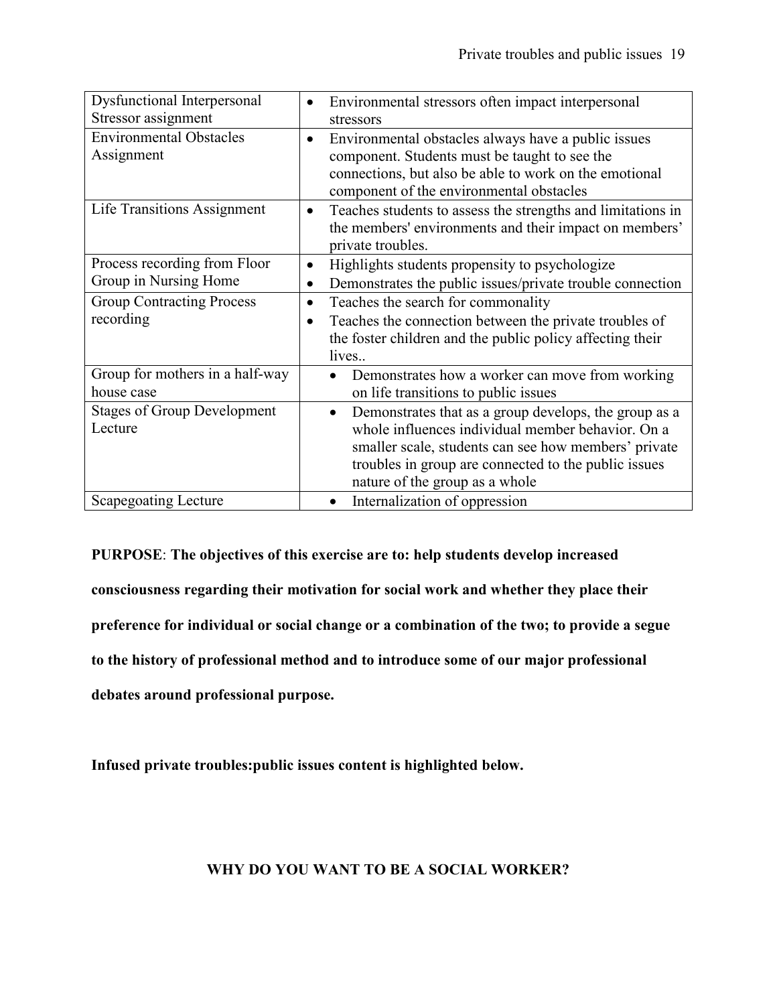| <b>Dysfunctional Interpersonal</b> |                                                                          |
|------------------------------------|--------------------------------------------------------------------------|
|                                    | Environmental stressors often impact interpersonal                       |
| Stressor assignment                | stressors                                                                |
| <b>Environmental Obstacles</b>     | Environmental obstacles always have a public issues<br>$\bullet$         |
| Assignment                         | component. Students must be taught to see the                            |
|                                    | connections, but also be able to work on the emotional                   |
|                                    |                                                                          |
|                                    | component of the environmental obstacles                                 |
| Life Transitions Assignment        | Teaches students to assess the strengths and limitations in<br>$\bullet$ |
|                                    | the members' environments and their impact on members'                   |
|                                    | private troubles.                                                        |
| Process recording from Floor       | Highlights students propensity to psychologize                           |
| Group in Nursing Home              | Demonstrates the public issues/private trouble connection<br>$\bullet$   |
| <b>Group Contracting Process</b>   | Teaches the search for commonality<br>$\bullet$                          |
| recording                          | Teaches the connection between the private troubles of                   |
|                                    | the foster children and the public policy affecting their                |
|                                    | lives                                                                    |
|                                    |                                                                          |
| Group for mothers in a half-way    | Demonstrates how a worker can move from working                          |
| house case                         | on life transitions to public issues                                     |
| <b>Stages of Group Development</b> | Demonstrates that as a group develops, the group as a<br>$\bullet$       |
| Lecture                            | whole influences individual member behavior. On a                        |
|                                    | smaller scale, students can see how members' private                     |
|                                    | troubles in group are connected to the public issues                     |
|                                    |                                                                          |
|                                    | nature of the group as a whole                                           |
| <b>Scapegoating Lecture</b>        | Internalization of oppression<br>$\bullet$                               |

PURPOSE: The objectives of this exercise are to: help students develop increased consciousness regarding their motivation for social work and whether they place their preference for individual or social change or a combination of the two; to provide a segue to the history of professional method and to introduce some of our major professional debates around professional purpose.

Infused private troubles:public issues content is highlighted below.

## WHY DO YOU WANT TO BE A SOCIAL WORKER?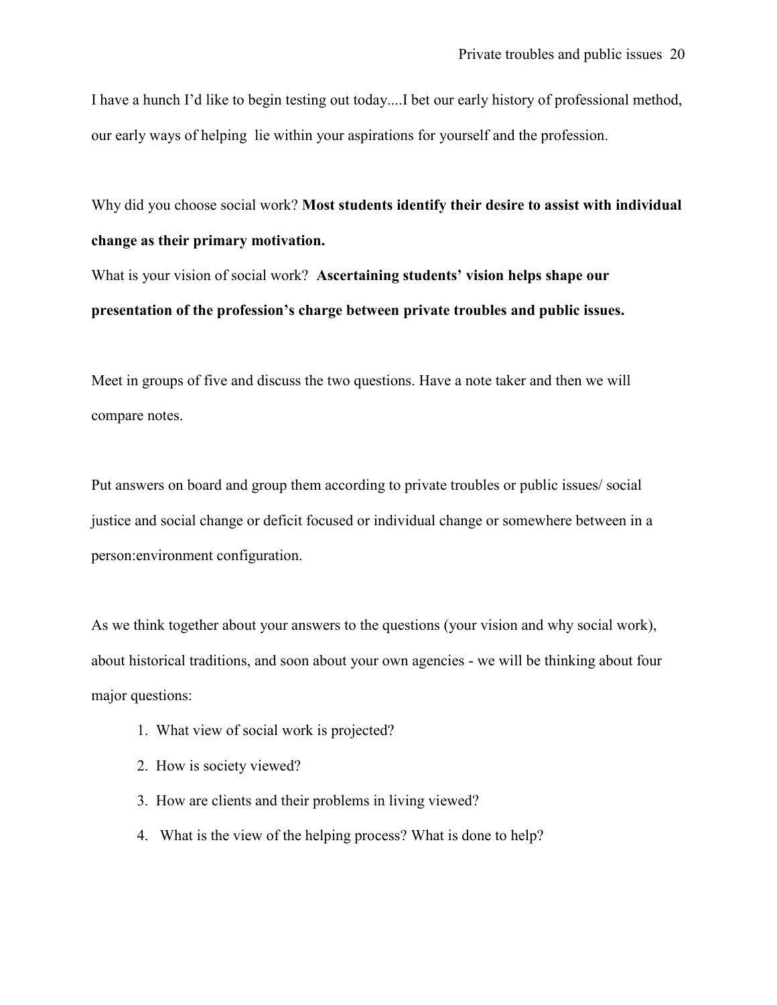I have a hunch I'd like to begin testing out today....I bet our early history of professional method, our early ways of helping lie within your aspirations for yourself and the profession.

Why did you choose social work? Most students identify their desire to assist with individual change as their primary motivation.

What is your vision of social work? Ascertaining students' vision helps shape our presentation of the profession's charge between private troubles and public issues.

Meet in groups of five and discuss the two questions. Have a note taker and then we will compare notes.

Put answers on board and group them according to private troubles or public issues/ social justice and social change or deficit focused or individual change or somewhere between in a person:environment configuration.

As we think together about your answers to the questions (your vision and why social work), about historical traditions, and soon about your own agencies - we will be thinking about four major questions:

- 1. What view of social work is projected?
- 2. How is society viewed?
- 3. How are clients and their problems in living viewed?
- 4. What is the view of the helping process? What is done to help?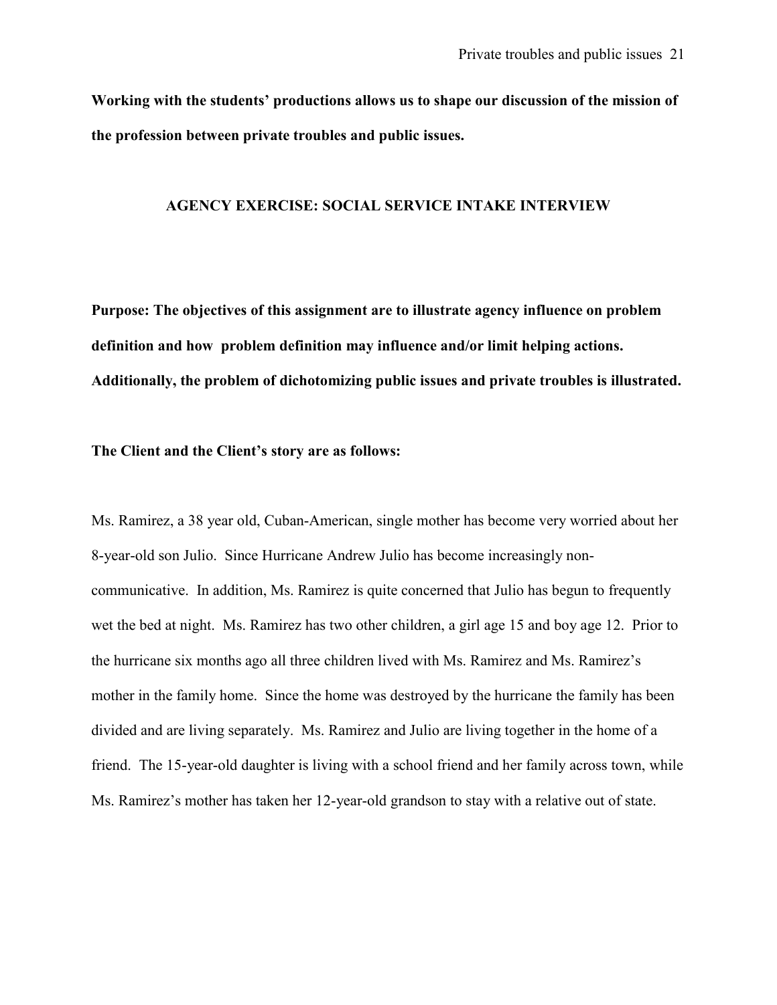Working with the students' productions allows us to shape our discussion of the mission of the profession between private troubles and public issues.

#### AGENCY EXERCISE: SOCIAL SERVICE INTAKE INTERVIEW

Purpose: The objectives of this assignment are to illustrate agency influence on problem definition and how problem definition may influence and/or limit helping actions. Additionally, the problem of dichotomizing public issues and private troubles is illustrated.

The Client and the Client's story are as follows:

Ms. Ramirez, a 38 year old, Cuban-American, single mother has become very worried about her 8-year-old son Julio. Since Hurricane Andrew Julio has become increasingly noncommunicative. In addition, Ms. Ramirez is quite concerned that Julio has begun to frequently wet the bed at night. Ms. Ramirez has two other children, a girl age 15 and boy age 12. Prior to the hurricane six months ago all three children lived with Ms. Ramirez and Ms. Ramirez's mother in the family home. Since the home was destroyed by the hurricane the family has been divided and are living separately. Ms. Ramirez and Julio are living together in the home of a friend. The 15-year-old daughter is living with a school friend and her family across town, while Ms. Ramirez's mother has taken her 12-year-old grandson to stay with a relative out of state.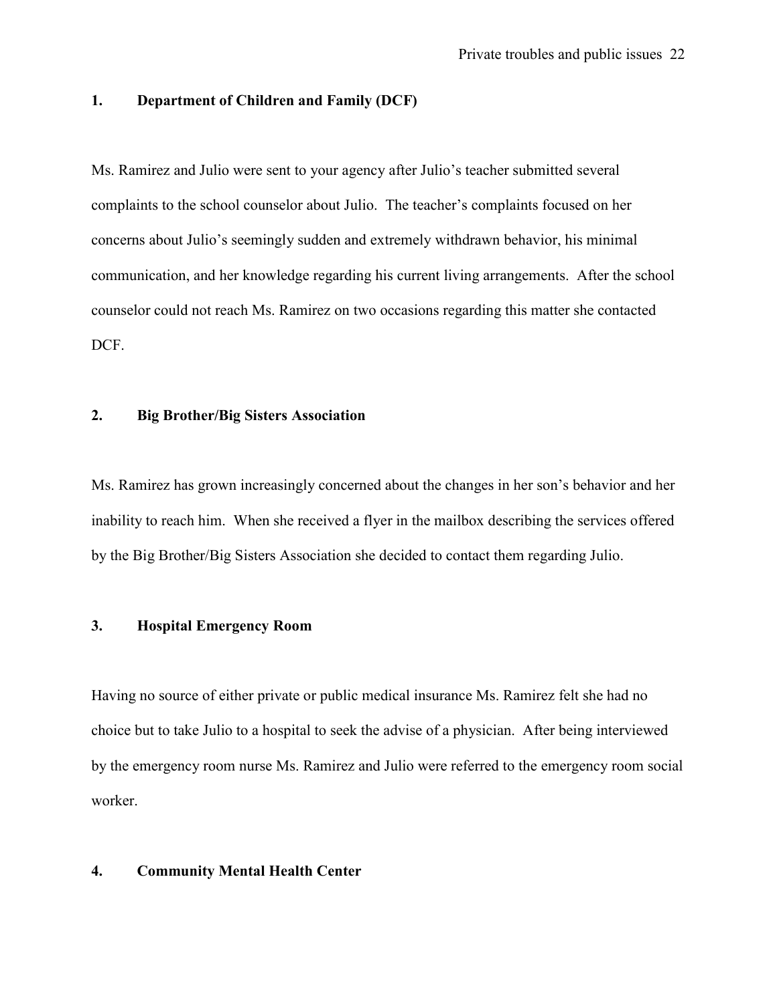## 1. Department of Children and Family (DCF)

Ms. Ramirez and Julio were sent to your agency after Julio's teacher submitted several complaints to the school counselor about Julio. The teacher's complaints focused on her concerns about Julio's seemingly sudden and extremely withdrawn behavior, his minimal communication, and her knowledge regarding his current living arrangements. After the school counselor could not reach Ms. Ramirez on two occasions regarding this matter she contacted DCF.

## 2. Big Brother/Big Sisters Association

Ms. Ramirez has grown increasingly concerned about the changes in her son's behavior and her inability to reach him. When she received a flyer in the mailbox describing the services offered by the Big Brother/Big Sisters Association she decided to contact them regarding Julio.

## 3. Hospital Emergency Room

Having no source of either private or public medical insurance Ms. Ramirez felt she had no choice but to take Julio to a hospital to seek the advise of a physician. After being interviewed by the emergency room nurse Ms. Ramirez and Julio were referred to the emergency room social worker.

## 4. Community Mental Health Center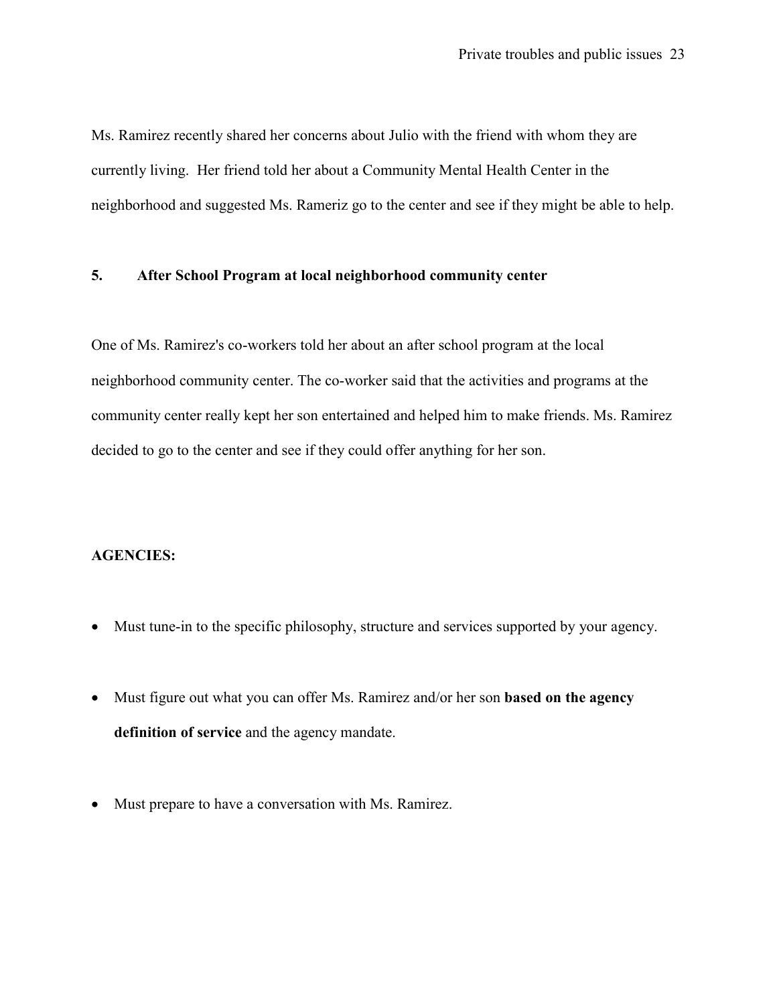Ms. Ramirez recently shared her concerns about Julio with the friend with whom they are currently living. Her friend told her about a Community Mental Health Center in the neighborhood and suggested Ms. Rameriz go to the center and see if they might be able to help.

## 5. After School Program at local neighborhood community center

One of Ms. Ramirez's co-workers told her about an after school program at the local neighborhood community center. The co-worker said that the activities and programs at the community center really kept her son entertained and helped him to make friends. Ms. Ramirez decided to go to the center and see if they could offer anything for her son.

## AGENCIES:

- Must tune-in to the specific philosophy, structure and services supported by your agency.
- Must figure out what you can offer Ms. Ramirez and/or her son **based on the agency** definition of service and the agency mandate.
- Must prepare to have a conversation with Ms. Ramirez.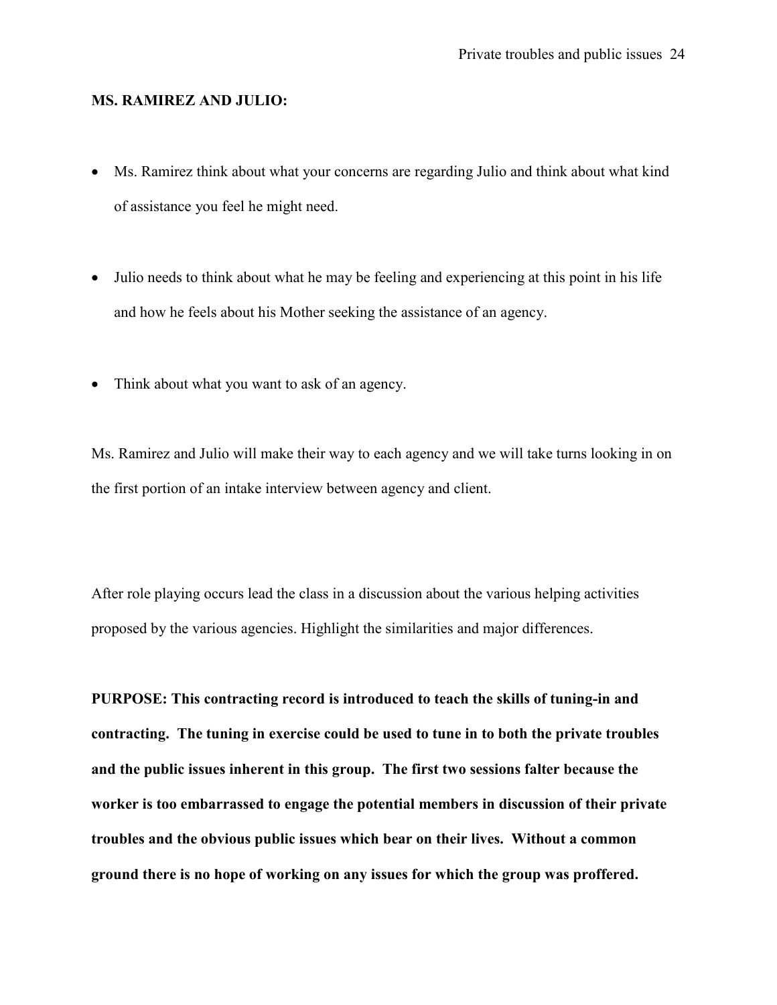#### MS. RAMIREZ AND JULIO:

- Ms. Ramirez think about what your concerns are regarding Julio and think about what kind of assistance you feel he might need.
- Julio needs to think about what he may be feeling and experiencing at this point in his life and how he feels about his Mother seeking the assistance of an agency.
- Think about what you want to ask of an agency.

Ms. Ramirez and Julio will make their way to each agency and we will take turns looking in on the first portion of an intake interview between agency and client.

After role playing occurs lead the class in a discussion about the various helping activities proposed by the various agencies. Highlight the similarities and major differences.

PURPOSE: This contracting record is introduced to teach the skills of tuning-in and contracting. The tuning in exercise could be used to tune in to both the private troubles and the public issues inherent in this group. The first two sessions falter because the worker is too embarrassed to engage the potential members in discussion of their private troubles and the obvious public issues which bear on their lives. Without a common ground there is no hope of working on any issues for which the group was proffered.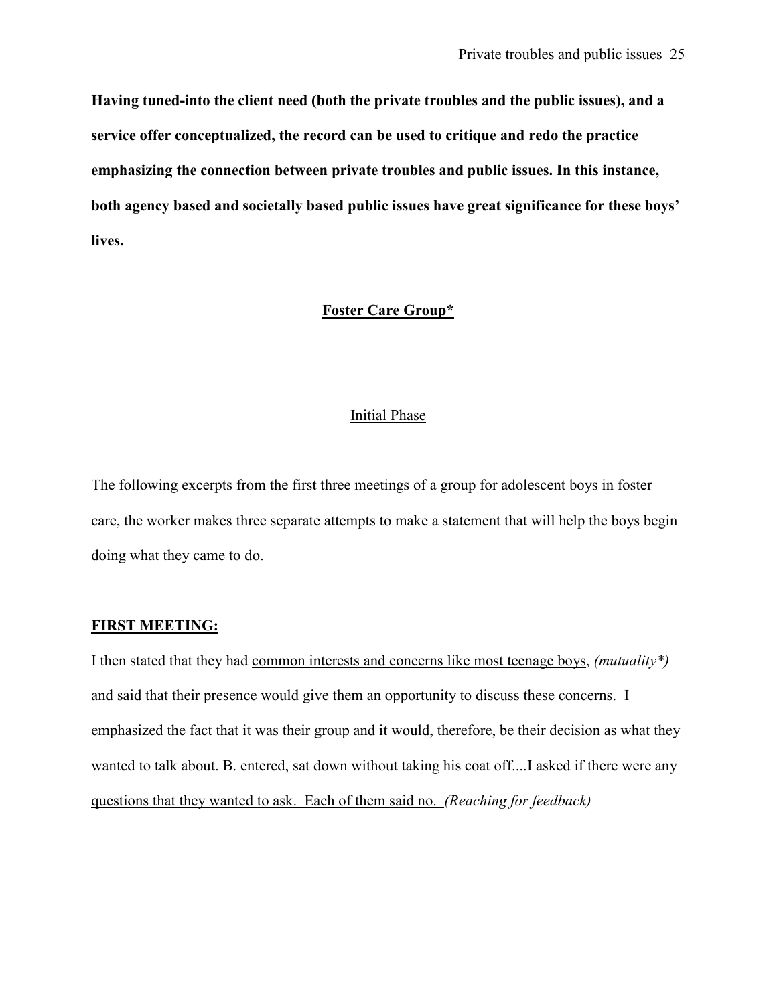Having tuned-into the client need (both the private troubles and the public issues), and a service offer conceptualized, the record can be used to critique and redo the practice emphasizing the connection between private troubles and public issues. In this instance, both agency based and societally based public issues have great significance for these boys' lives.

## Foster Care Group\*

#### Initial Phase

The following excerpts from the first three meetings of a group for adolescent boys in foster care, the worker makes three separate attempts to make a statement that will help the boys begin doing what they came to do.

## FIRST MEETING:

I then stated that they had common interests and concerns like most teenage boys, (mutuality\*) and said that their presence would give them an opportunity to discuss these concerns. I emphasized the fact that it was their group and it would, therefore, be their decision as what they wanted to talk about. B. entered, sat down without taking his coat off....I asked if there were any questions that they wanted to ask. Each of them said no. (Reaching for feedback)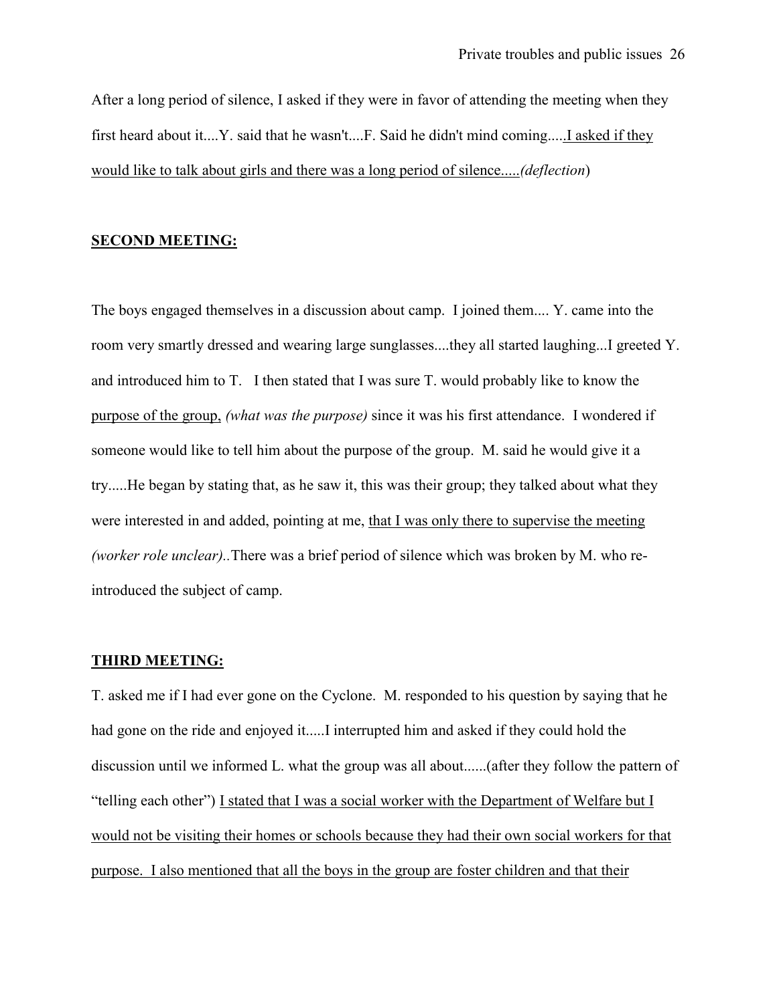After a long period of silence, I asked if they were in favor of attending the meeting when they first heard about it....Y. said that he wasn't....F. Said he didn't mind coming.....I asked if they would like to talk about girls and there was a long period of silence.....(deflection)

## SECOND MEETING:

The boys engaged themselves in a discussion about camp. I joined them.... Y. came into the room very smartly dressed and wearing large sunglasses....they all started laughing...I greeted Y. and introduced him to T. I then stated that I was sure T. would probably like to know the purpose of the group, (what was the purpose) since it was his first attendance. I wondered if someone would like to tell him about the purpose of the group. M. said he would give it a try.....He began by stating that, as he saw it, this was their group; they talked about what they were interested in and added, pointing at me, that I was only there to supervise the meeting (worker role unclear)..There was a brief period of silence which was broken by M. who reintroduced the subject of camp.

#### THIRD MEETING:

T. asked me if I had ever gone on the Cyclone. M. responded to his question by saying that he had gone on the ride and enjoyed it.....I interrupted him and asked if they could hold the discussion until we informed L. what the group was all about......(after they follow the pattern of "telling each other") I stated that I was a social worker with the Department of Welfare but I would not be visiting their homes or schools because they had their own social workers for that purpose. I also mentioned that all the boys in the group are foster children and that their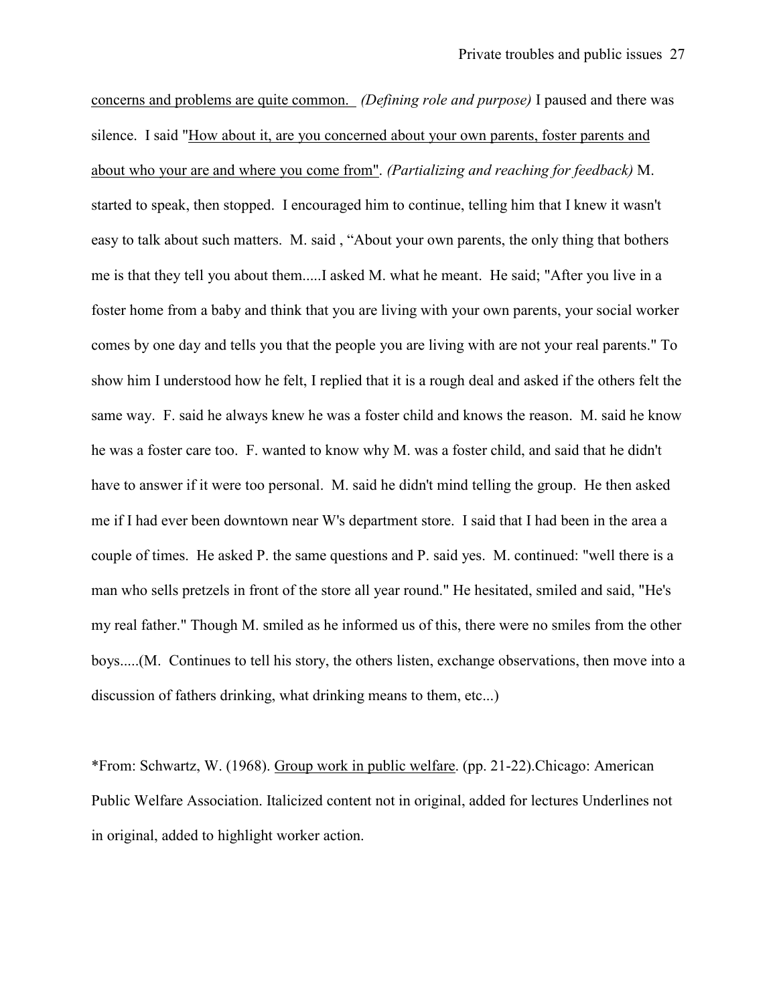concerns and problems are quite common. (Defining role and purpose) I paused and there was silence. I said "How about it, are you concerned about your own parents, foster parents and about who your are and where you come from". (Partializing and reaching for feedback) M. started to speak, then stopped. I encouraged him to continue, telling him that I knew it wasn't easy to talk about such matters. M. said , "About your own parents, the only thing that bothers me is that they tell you about them.....I asked M. what he meant. He said; "After you live in a foster home from a baby and think that you are living with your own parents, your social worker comes by one day and tells you that the people you are living with are not your real parents." To show him I understood how he felt, I replied that it is a rough deal and asked if the others felt the same way. F. said he always knew he was a foster child and knows the reason. M. said he know he was a foster care too. F. wanted to know why M. was a foster child, and said that he didn't have to answer if it were too personal. M. said he didn't mind telling the group. He then asked me if I had ever been downtown near W's department store. I said that I had been in the area a couple of times. He asked P. the same questions and P. said yes. M. continued: "well there is a man who sells pretzels in front of the store all year round." He hesitated, smiled and said, "He's my real father." Though M. smiled as he informed us of this, there were no smiles from the other boys.....(M. Continues to tell his story, the others listen, exchange observations, then move into a discussion of fathers drinking, what drinking means to them, etc...)

\*From: Schwartz, W. (1968). Group work in public welfare. (pp. 21-22).Chicago: American Public Welfare Association. Italicized content not in original, added for lectures Underlines not in original, added to highlight worker action.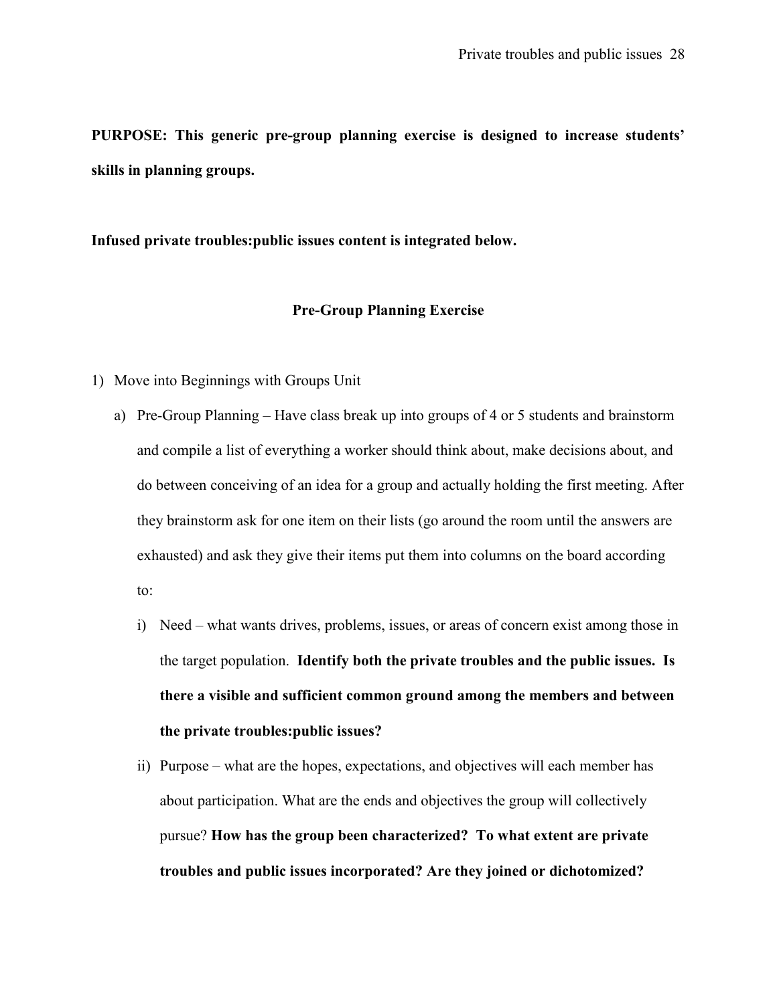PURPOSE: This generic pre-group planning exercise is designed to increase students' skills in planning groups.

Infused private troubles:public issues content is integrated below.

## Pre-Group Planning Exercise

- 1) Move into Beginnings with Groups Unit
	- a) Pre-Group Planning Have class break up into groups of 4 or 5 students and brainstorm and compile a list of everything a worker should think about, make decisions about, and do between conceiving of an idea for a group and actually holding the first meeting. After they brainstorm ask for one item on their lists (go around the room until the answers are exhausted) and ask they give their items put them into columns on the board according to:
		- i) Need what wants drives, problems, issues, or areas of concern exist among those in the target population. Identify both the private troubles and the public issues. Is there a visible and sufficient common ground among the members and between the private troubles:public issues?
		- ii) Purpose what are the hopes, expectations, and objectives will each member has about participation. What are the ends and objectives the group will collectively pursue? How has the group been characterized? To what extent are private troubles and public issues incorporated? Are they joined or dichotomized?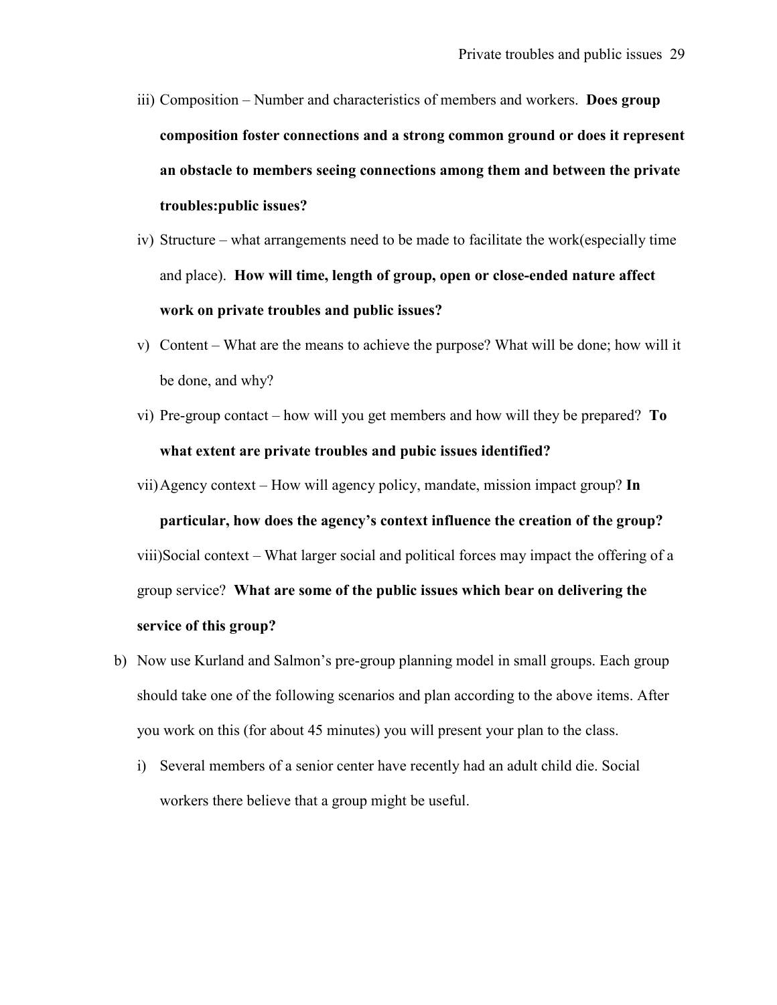- iii) Composition Number and characteristics of members and workers. Does group composition foster connections and a strong common ground or does it represent an obstacle to members seeing connections among them and between the private troubles:public issues?
- iv) Structure what arrangements need to be made to facilitate the work(especially time and place). How will time, length of group, open or close-ended nature affect work on private troubles and public issues?
- v) Content What are the means to achieve the purpose? What will be done; how will it be done, and why?
- vi) Pre-group contact how will you get members and how will they be prepared? To what extent are private troubles and pubic issues identified?
- vii)Agency context How will agency policy, mandate, mission impact group? In particular, how does the agency's context influence the creation of the group? viii)Social context – What larger social and political forces may impact the offering of a group service? What are some of the public issues which bear on delivering the service of this group?
- b) Now use Kurland and Salmon's pre-group planning model in small groups. Each group should take one of the following scenarios and plan according to the above items. After you work on this (for about 45 minutes) you will present your plan to the class.
	- i) Several members of a senior center have recently had an adult child die. Social workers there believe that a group might be useful.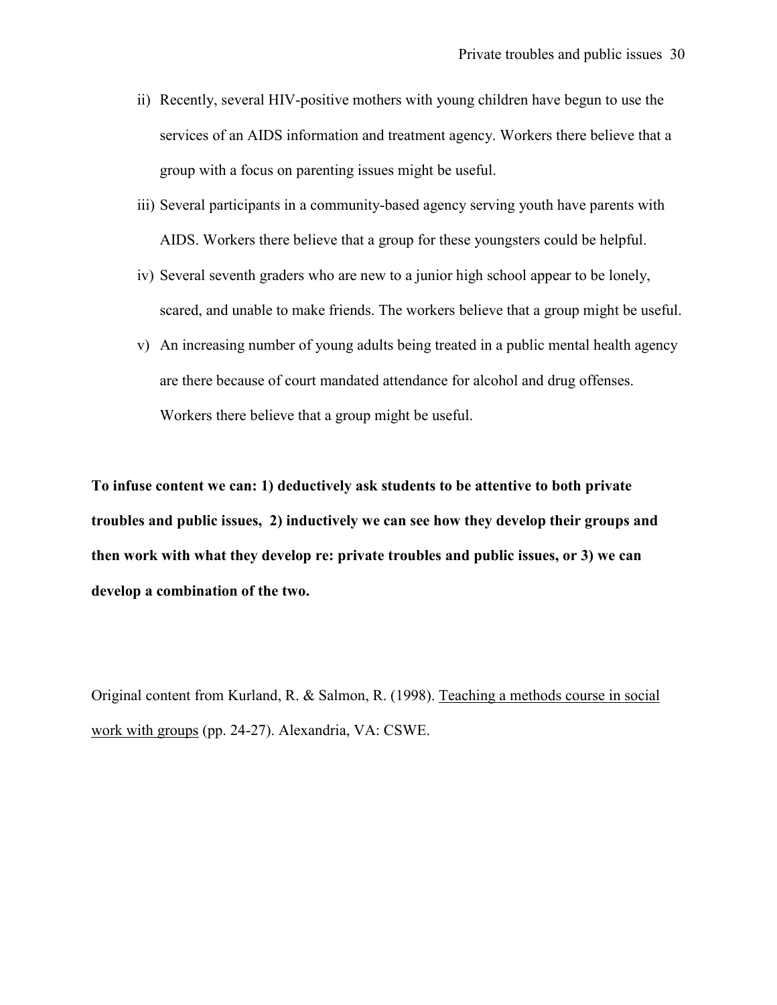- ii) Recently, several HIV-positive mothers with young children have begun to use the services of an AIDS information and treatment agency. Workers there believe that a group with a focus on parenting issues might be useful.
- iii) Several participants in a community-based agency serving youth have parents with AIDS. Workers there believe that a group for these youngsters could be helpful.
- iv) Several seventh graders who are new to a junior high school appear to be lonely, scared, and unable to make friends. The workers believe that a group might be useful.
- v) An increasing number of young adults being treated in a public mental health agency are there because of court mandated attendance for alcohol and drug offenses. Workers there believe that a group might be useful.

To infuse content we can: 1) deductively ask students to be attentive to both private troubles and public issues, 2) inductively we can see how they develop their groups and then work with what they develop re: private troubles and public issues, or 3) we can develop a combination of the two.

Original content from Kurland, R. & Salmon, R. (1998). Teaching a methods course in social work with groups (pp. 24-27). Alexandria, VA: CSWE.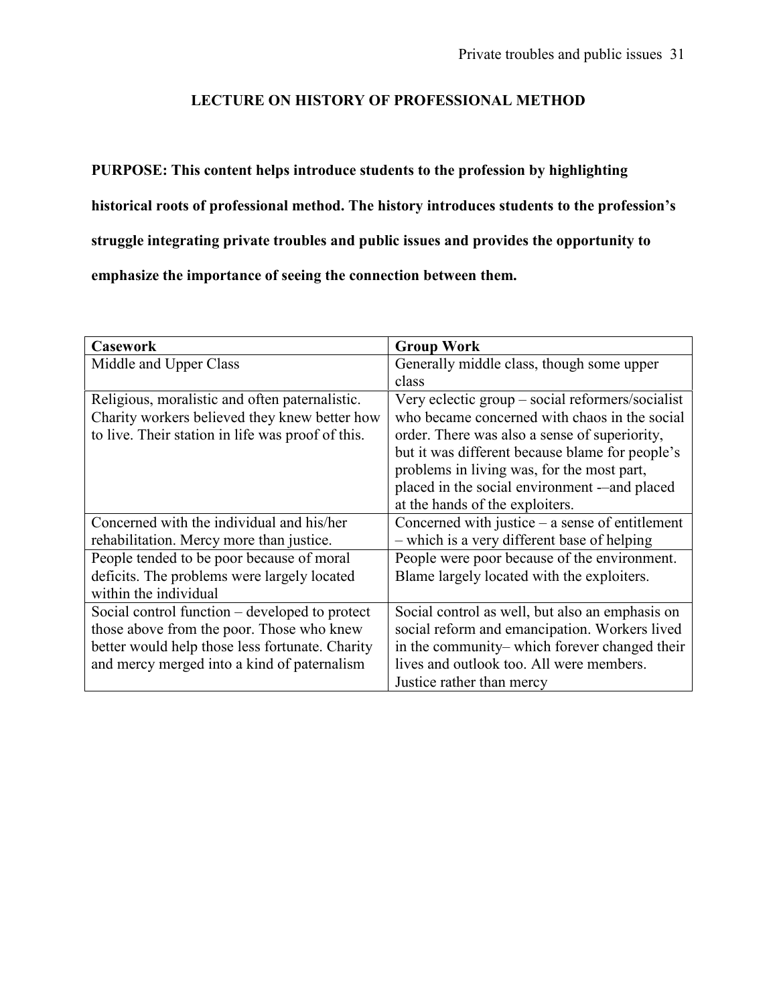## LECTURE ON HISTORY OF PROFESSIONAL METHOD

# PURPOSE: This content helps introduce students to the profession by highlighting historical roots of professional method. The history introduces students to the profession's struggle integrating private troubles and public issues and provides the opportunity to emphasize the importance of seeing the connection between them.

| <b>Casework</b>                                   | <b>Group Work</b>                                 |
|---------------------------------------------------|---------------------------------------------------|
| Middle and Upper Class                            | Generally middle class, though some upper         |
|                                                   | class                                             |
| Religious, moralistic and often paternalistic.    | Very eclectic group – social reformers/socialist  |
| Charity workers believed they knew better how     | who became concerned with chaos in the social     |
| to live. Their station in life was proof of this. | order. There was also a sense of superiority,     |
|                                                   | but it was different because blame for people's   |
|                                                   | problems in living was, for the most part,        |
|                                                   | placed in the social environment -- and placed    |
|                                                   | at the hands of the exploiters.                   |
| Concerned with the individual and his/her         | Concerned with justice $-$ a sense of entitlement |
| rehabilitation. Mercy more than justice.          | - which is a very different base of helping       |
| People tended to be poor because of moral         | People were poor because of the environment.      |
| deficits. The problems were largely located       | Blame largely located with the exploiters.        |
| within the individual                             |                                                   |
| Social control function – developed to protect    | Social control as well, but also an emphasis on   |
| those above from the poor. Those who knew         | social reform and emancipation. Workers lived     |
| better would help those less fortunate. Charity   | in the community– which forever changed their     |
| and mercy merged into a kind of paternalism       | lives and outlook too. All were members.          |
|                                                   | Justice rather than mercy                         |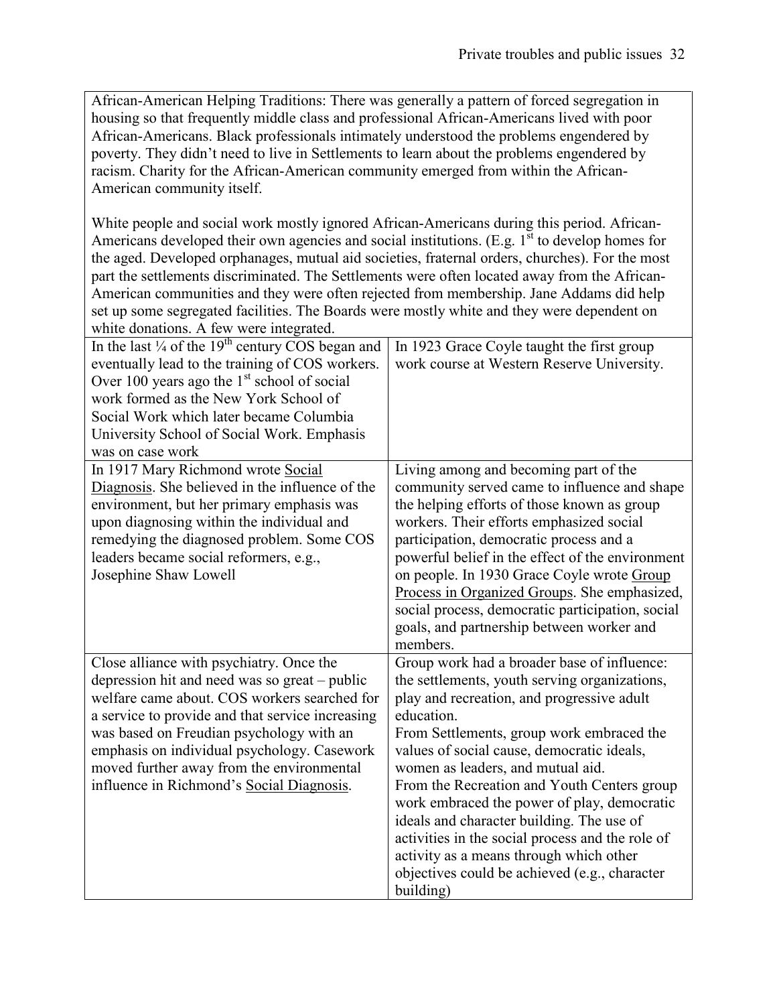African-American Helping Traditions: There was generally a pattern of forced segregation in housing so that frequently middle class and professional African-Americans lived with poor African-Americans. Black professionals intimately understood the problems engendered by poverty. They didn't need to live in Settlements to learn about the problems engendered by racism. Charity for the African-American community emerged from within the African-American community itself.

White people and social work mostly ignored African-Americans during this period. African-Americans developed their own agencies and social institutions. (E.g.  $1<sup>st</sup>$  to develop homes for the aged. Developed orphanages, mutual aid societies, fraternal orders, churches). For the most part the settlements discriminated. The Settlements were often located away from the African-American communities and they were often rejected from membership. Jane Addams did help set up some segregated facilities. The Boards were mostly white and they were dependent on white donations. A few were integrated.

| In the last $\frac{1}{4}$ of the 19 <sup>th</sup> century COS began and<br>eventually lead to the training of COS workers.<br>Over 100 years ago the $1st$ school of social<br>work formed as the New York School of<br>Social Work which later became Columbia<br>University School of Social Work. Emphasis<br>was on case work                                                  | In 1923 Grace Coyle taught the first group<br>work course at Western Reserve University.                                                                                                                                                                                                                                                                                                                                                                                                                                                                                                         |
|------------------------------------------------------------------------------------------------------------------------------------------------------------------------------------------------------------------------------------------------------------------------------------------------------------------------------------------------------------------------------------|--------------------------------------------------------------------------------------------------------------------------------------------------------------------------------------------------------------------------------------------------------------------------------------------------------------------------------------------------------------------------------------------------------------------------------------------------------------------------------------------------------------------------------------------------------------------------------------------------|
| In 1917 Mary Richmond wrote Social<br>Diagnosis. She believed in the influence of the<br>environment, but her primary emphasis was<br>upon diagnosing within the individual and<br>remedying the diagnosed problem. Some COS<br>leaders became social reformers, e.g.,<br>Josephine Shaw Lowell                                                                                    | Living among and becoming part of the<br>community served came to influence and shape<br>the helping efforts of those known as group<br>workers. Their efforts emphasized social<br>participation, democratic process and a<br>powerful belief in the effect of the environment<br>on people. In 1930 Grace Coyle wrote Group<br>Process in Organized Groups. She emphasized,<br>social process, democratic participation, social<br>goals, and partnership between worker and<br>members.                                                                                                       |
| Close alliance with psychiatry. Once the<br>depression hit and need was so great – public<br>welfare came about. COS workers searched for<br>a service to provide and that service increasing<br>was based on Freudian psychology with an<br>emphasis on individual psychology. Casework<br>moved further away from the environmental<br>influence in Richmond's Social Diagnosis. | Group work had a broader base of influence:<br>the settlements, youth serving organizations,<br>play and recreation, and progressive adult<br>education.<br>From Settlements, group work embraced the<br>values of social cause, democratic ideals,<br>women as leaders, and mutual aid.<br>From the Recreation and Youth Centers group<br>work embraced the power of play, democratic<br>ideals and character building. The use of<br>activities in the social process and the role of<br>activity as a means through which other<br>objectives could be achieved (e.g., character<br>building) |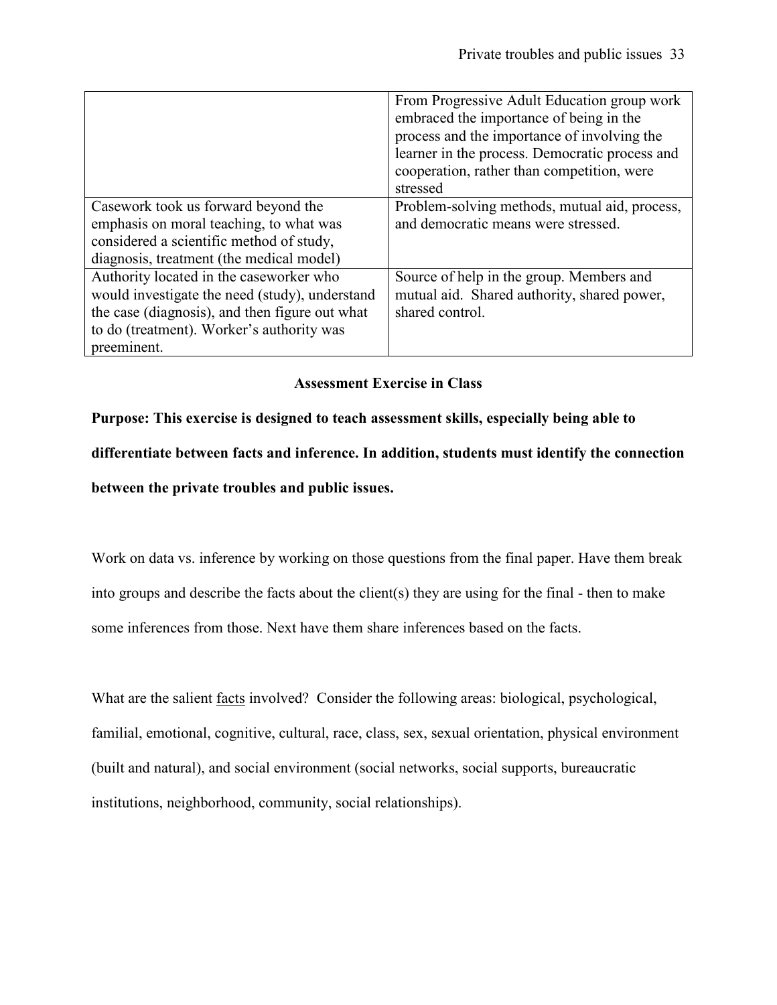|                                                                                                                                                                                                         | From Progressive Adult Education group work<br>embraced the importance of being in the<br>process and the importance of involving the<br>learner in the process. Democratic process and<br>cooperation, rather than competition, were<br>stressed |
|---------------------------------------------------------------------------------------------------------------------------------------------------------------------------------------------------------|---------------------------------------------------------------------------------------------------------------------------------------------------------------------------------------------------------------------------------------------------|
| Casework took us forward beyond the<br>emphasis on moral teaching, to what was<br>considered a scientific method of study,<br>diagnosis, treatment (the medical model)                                  | Problem-solving methods, mutual aid, process,<br>and democratic means were stressed.                                                                                                                                                              |
| Authority located in the caseworker who<br>would investigate the need (study), understand<br>the case (diagnosis), and then figure out what<br>to do (treatment). Worker's authority was<br>preeminent. | Source of help in the group. Members and<br>mutual aid. Shared authority, shared power,<br>shared control.                                                                                                                                        |

## Assessment Exercise in Class

Purpose: This exercise is designed to teach assessment skills, especially being able to differentiate between facts and inference. In addition, students must identify the connection between the private troubles and public issues.

Work on data vs. inference by working on those questions from the final paper. Have them break into groups and describe the facts about the client(s) they are using for the final - then to make some inferences from those. Next have them share inferences based on the facts.

What are the salient facts involved? Consider the following areas: biological, psychological, familial, emotional, cognitive, cultural, race, class, sex, sexual orientation, physical environment (built and natural), and social environment (social networks, social supports, bureaucratic institutions, neighborhood, community, social relationships).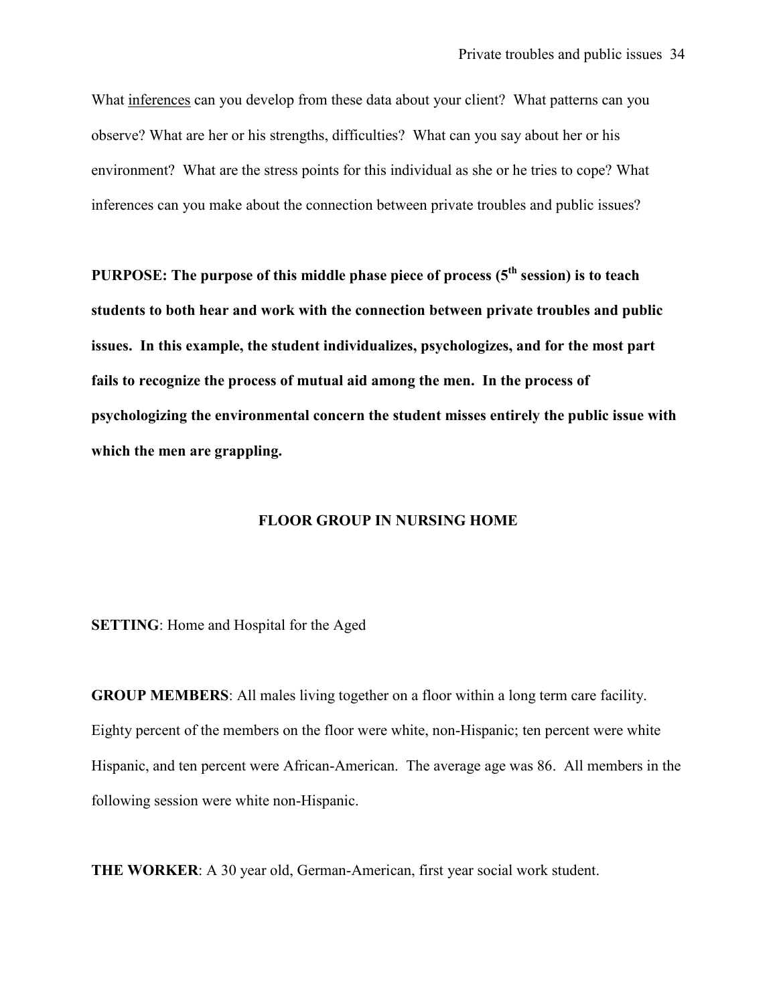What inferences can you develop from these data about your client? What patterns can you observe? What are her or his strengths, difficulties? What can you say about her or his environment? What are the stress points for this individual as she or he tries to cope? What inferences can you make about the connection between private troubles and public issues?

PURPOSE: The purpose of this middle phase piece of process  $(5<sup>th</sup> session)$  is to teach students to both hear and work with the connection between private troubles and public issues. In this example, the student individualizes, psychologizes, and for the most part fails to recognize the process of mutual aid among the men. In the process of psychologizing the environmental concern the student misses entirely the public issue with which the men are grappling.

#### FLOOR GROUP IN NURSING HOME

SETTING: Home and Hospital for the Aged

GROUP MEMBERS: All males living together on a floor within a long term care facility. Eighty percent of the members on the floor were white, non-Hispanic; ten percent were white Hispanic, and ten percent were African-American. The average age was 86. All members in the following session were white non-Hispanic.

THE WORKER: A 30 year old, German-American, first year social work student.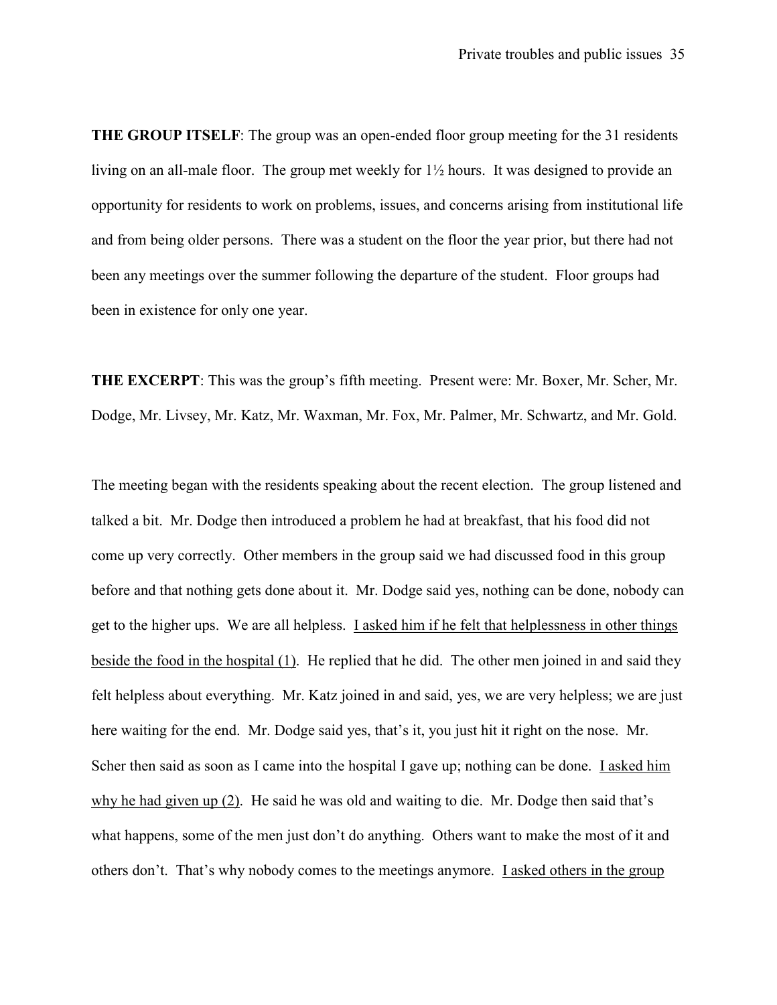THE GROUP ITSELF: The group was an open-ended floor group meeting for the 31 residents living on an all-male floor. The group met weekly for 1½ hours. It was designed to provide an opportunity for residents to work on problems, issues, and concerns arising from institutional life and from being older persons. There was a student on the floor the year prior, but there had not been any meetings over the summer following the departure of the student. Floor groups had been in existence for only one year.

THE EXCERPT: This was the group's fifth meeting. Present were: Mr. Boxer, Mr. Scher, Mr. Dodge, Mr. Livsey, Mr. Katz, Mr. Waxman, Mr. Fox, Mr. Palmer, Mr. Schwartz, and Mr. Gold.

The meeting began with the residents speaking about the recent election. The group listened and talked a bit. Mr. Dodge then introduced a problem he had at breakfast, that his food did not come up very correctly. Other members in the group said we had discussed food in this group before and that nothing gets done about it. Mr. Dodge said yes, nothing can be done, nobody can get to the higher ups. We are all helpless. I asked him if he felt that helplessness in other things beside the food in the hospital (1). He replied that he did. The other men joined in and said they felt helpless about everything. Mr. Katz joined in and said, yes, we are very helpless; we are just here waiting for the end. Mr. Dodge said yes, that's it, you just hit it right on the nose. Mr. Scher then said as soon as I came into the hospital I gave up; nothing can be done. I asked him why he had given up (2). He said he was old and waiting to die. Mr. Dodge then said that's what happens, some of the men just don't do anything. Others want to make the most of it and others don't. That's why nobody comes to the meetings anymore. I asked others in the group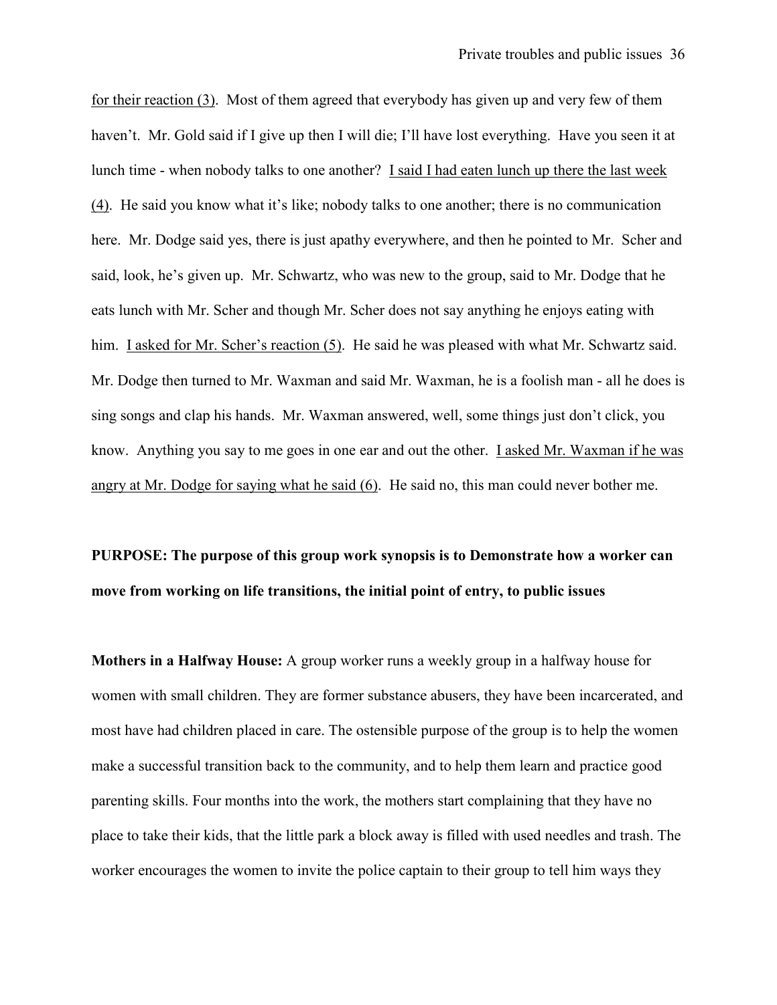for their reaction (3). Most of them agreed that everybody has given up and very few of them haven't. Mr. Gold said if I give up then I will die; I'll have lost everything. Have you seen it at lunch time - when nobody talks to one another? I said I had eaten lunch up there the last week (4). He said you know what it's like; nobody talks to one another; there is no communication here. Mr. Dodge said yes, there is just apathy everywhere, and then he pointed to Mr. Scher and said, look, he's given up. Mr. Schwartz, who was new to the group, said to Mr. Dodge that he eats lunch with Mr. Scher and though Mr. Scher does not say anything he enjoys eating with him. I asked for Mr. Scher's reaction (5). He said he was pleased with what Mr. Schwartz said. Mr. Dodge then turned to Mr. Waxman and said Mr. Waxman, he is a foolish man - all he does is sing songs and clap his hands. Mr. Waxman answered, well, some things just don't click, you know. Anything you say to me goes in one ear and out the other. I asked Mr. Waxman if he was angry at Mr. Dodge for saying what he said (6). He said no, this man could never bother me.

# PURPOSE: The purpose of this group work synopsis is to Demonstrate how a worker can move from working on life transitions, the initial point of entry, to public issues

Mothers in a Halfway House: A group worker runs a weekly group in a halfway house for women with small children. They are former substance abusers, they have been incarcerated, and most have had children placed in care. The ostensible purpose of the group is to help the women make a successful transition back to the community, and to help them learn and practice good parenting skills. Four months into the work, the mothers start complaining that they have no place to take their kids, that the little park a block away is filled with used needles and trash. The worker encourages the women to invite the police captain to their group to tell him ways they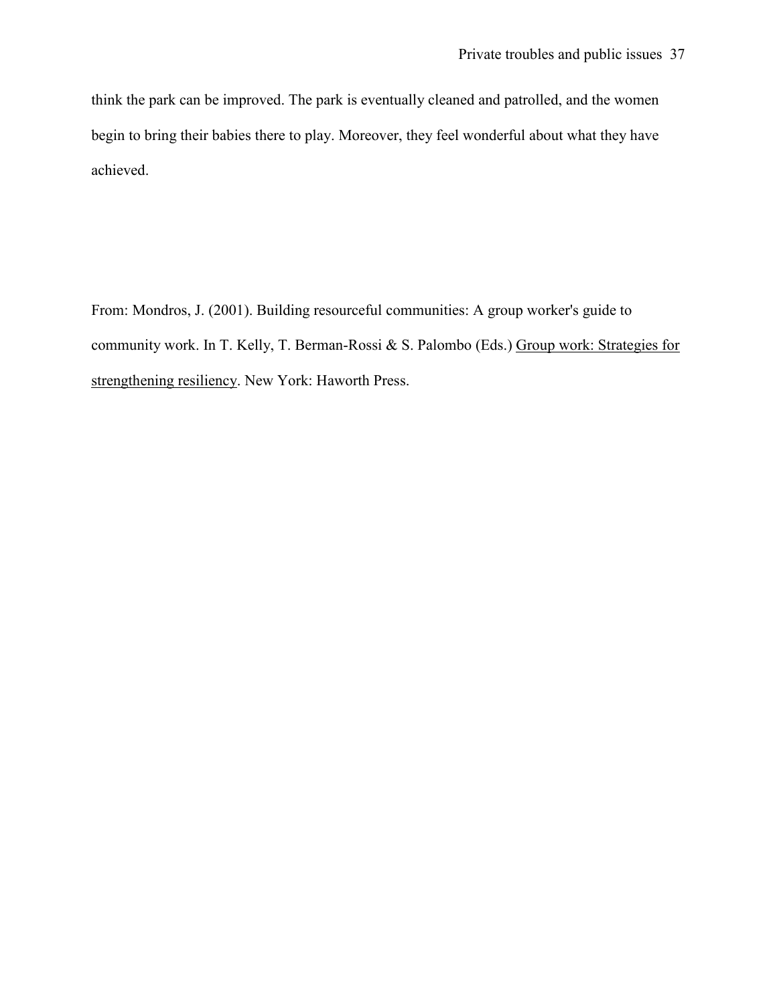think the park can be improved. The park is eventually cleaned and patrolled, and the women begin to bring their babies there to play. Moreover, they feel wonderful about what they have achieved.

From: Mondros, J. (2001). Building resourceful communities: A group worker's guide to community work. In T. Kelly, T. Berman-Rossi & S. Palombo (Eds.) Group work: Strategies for strengthening resiliency. New York: Haworth Press.